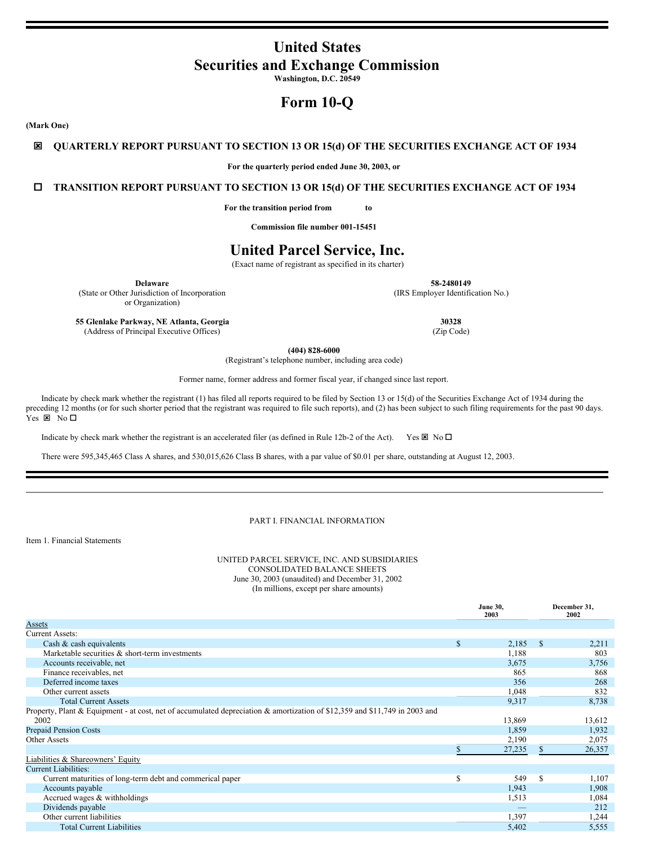# **United States Securities and Exchange Commission**

**Washington, D.C. 20549**

# **Form 10-Q**

**(Mark One)**

# ý **QUARTERLY REPORT PURSUANT TO SECTION 13 OR 15(d) OF THE SECURITIES EXCHANGE ACT OF 1934**

**For the quarterly period ended June 30, 2003, or**

# o **TRANSITION REPORT PURSUANT TO SECTION 13 OR 15(d) OF THE SECURITIES EXCHANGE ACT OF 1934**

**For the transition period from to**

**Commission file number 001-15451**

# **United Parcel Service, Inc.**

(Exact name of registrant as specified in its charter)

(State or Other Jurisdiction of Incorporation or Organization)

**Delaware 58-2480149** (IRS Employer Identification No.)

**55 Glenlake Parkway, NE Atlanta, Georgia 30328** (Address of Principal Executive Offices) (Zip Code)

**(404) 828-6000**

(Registrant's telephone number, including area code)

Former name, former address and former fiscal year, if changed since last report.

Indicate by check mark whether the registrant (1) has filed all reports required to be filed by Section 13 or 15(d) of the Securities Exchange Act of 1934 during the preceding 12 months (or for such shorter period that the registrant was required to file such reports), and (2) has been subject to such filing requirements for the past 90 days. Yes  $\boxtimes$  No  $\square$ 

Indicate by check mark whether the registrant is an accelerated filer (as defined in Rule 12b-2 of the Act). Yes  $\boxtimes$  No  $\square$ 

There were 595,345,465 Class A shares, and 530,015,626 Class B shares, with a par value of \$0.01 per share, outstanding at August 12, 2003.

# PART I. FINANCIAL INFORMATION

Item 1. Financial Statements

## UNITED PARCEL SERVICE, INC. AND SUBSIDIARIES CONSOLIDATED BALANCE SHEETS

June 30, 2003 (unaudited) and December 31, 2002

(In millions, except per share amounts)

|                                                                                                                            |              | <b>June 30,</b><br>2003 |               | December 31,<br>2002 |
|----------------------------------------------------------------------------------------------------------------------------|--------------|-------------------------|---------------|----------------------|
| <b>Assets</b>                                                                                                              |              |                         |               |                      |
| <b>Current Assets:</b>                                                                                                     |              |                         |               |                      |
| Cash & cash equivalents                                                                                                    | $\mathbb{S}$ | 2,185                   | -S            | 2,211                |
| Marketable securities & short-term investments                                                                             |              | 1,188                   |               | 803                  |
| Accounts receivable, net                                                                                                   |              | 3,675                   |               | 3,756                |
| Finance receivables, net                                                                                                   |              | 865                     |               | 868                  |
| Deferred income taxes                                                                                                      |              | 356                     |               | 268                  |
| Other current assets                                                                                                       |              | 1,048                   |               | 832                  |
| <b>Total Current Assets</b>                                                                                                |              | 9,317                   |               | 8,738                |
| Property, Plant & Equipment - at cost, net of accumulated depreciation & amortization of \$12,359 and \$11,749 in 2003 and |              |                         |               |                      |
| 2002                                                                                                                       |              | 13,869                  |               | 13,612               |
| <b>Prepaid Pension Costs</b>                                                                                               |              | 1,859                   |               | 1,932                |
| Other Assets                                                                                                               |              | 2,190                   |               | 2,075                |
|                                                                                                                            |              | 27,235                  |               | 26,357               |
| Liabilities & Shareowners' Equity                                                                                          |              |                         |               |                      |
| <b>Current Liabilities:</b>                                                                                                |              |                         |               |                      |
| Current maturities of long-term debt and commerical paper                                                                  | \$           | 549                     | <sup>\$</sup> | 1,107                |
| Accounts payable                                                                                                           |              | 1,943                   |               | 1,908                |
| Accrued wages & withholdings                                                                                               |              | 1,513                   |               | 1,084                |
| Dividends payable                                                                                                          |              |                         |               | 212                  |
| Other current liabilities                                                                                                  |              | 1,397                   |               | 1,244                |
| <b>Total Current Liabilities</b>                                                                                           |              | 5,402                   |               | 5,555                |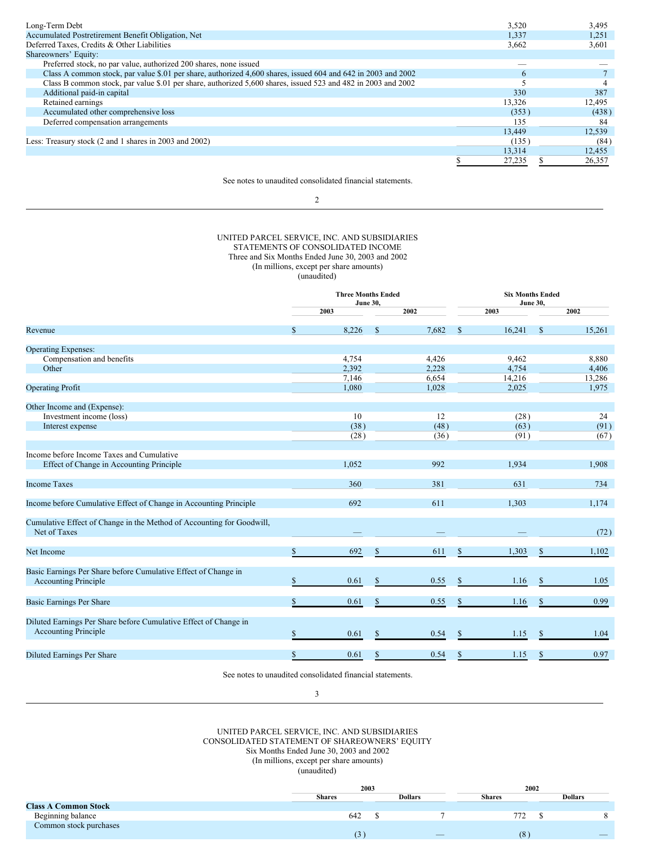| Long-Term Debt                                                                                                | 3,520  | 3,495  |
|---------------------------------------------------------------------------------------------------------------|--------|--------|
| Accumulated Postretirement Benefit Obligation, Net                                                            | 1,337  | 1,251  |
| Deferred Taxes, Credits & Other Liabilities                                                                   | 3,662  | 3,601  |
| Shareowners' Equity:                                                                                          |        |        |
| Preferred stock, no par value, authorized 200 shares, none issued                                             |        |        |
| Class A common stock, par value \$.01 per share, authorized 4,600 shares, issued 604 and 642 in 2003 and 2002 | h      |        |
| Class B common stock, par value \$.01 per share, authorized 5,600 shares, issued 523 and 482 in 2003 and 2002 |        | 4      |
| Additional paid-in capital                                                                                    | 330    | 387    |
| Retained earnings                                                                                             | 13,326 | 12,495 |
| Accumulated other comprehensive loss                                                                          | (353)  | (438)  |
| Deferred compensation arrangements                                                                            | 135    | 84     |
|                                                                                                               | 13,449 | 12,539 |
| Less: Treasury stock (2 and 1 shares in 2003 and 2002)                                                        | (135)  | (84)   |
|                                                                                                               | 13,314 | 12,455 |
|                                                                                                               | 27,235 | 26,357 |

See notes to unaudited consolidated financial statements.

2

## UNITED PARCEL SERVICE, INC. AND SUBSIDIARIES STATEMENTS OF CONSOLIDATED INCOME Three and Six Months Ended June 30, 2003 and 2002 (In millions, except per share amounts) (unaudited)

|                                                                                       | <b>Three Months Ended</b><br><b>June 30,</b> |       |              |       | <b>Six Months Ended</b><br><b>June 30,</b> |        |    |        |
|---------------------------------------------------------------------------------------|----------------------------------------------|-------|--------------|-------|--------------------------------------------|--------|----|--------|
|                                                                                       |                                              | 2003  |              | 2002  |                                            | 2003   |    | 2002   |
| Revenue                                                                               | \$                                           | 8,226 | S            | 7,682 | \$                                         | 16,241 | \$ | 15,261 |
| <b>Operating Expenses:</b>                                                            |                                              |       |              |       |                                            |        |    |        |
| Compensation and benefits                                                             |                                              | 4,754 |              | 4,426 |                                            | 9,462  |    | 8,880  |
| Other                                                                                 |                                              | 2,392 |              | 2,228 |                                            | 4,754  |    | 4,406  |
|                                                                                       |                                              | 7,146 |              | 6,654 |                                            | 14,216 |    | 13,286 |
| <b>Operating Profit</b>                                                               |                                              | 1,080 |              | 1,028 |                                            | 2,025  |    | 1,975  |
| Other Income and (Expense):                                                           |                                              |       |              |       |                                            |        |    |        |
| Investment income (loss)                                                              |                                              | 10    |              | 12    |                                            | (28)   |    | 24     |
| Interest expense                                                                      |                                              | (38)  |              | (48)  |                                            | (63)   |    | (91)   |
|                                                                                       |                                              | (28)  |              | (36)  |                                            | (91)   |    | (67)   |
| Income before Income Taxes and Cumulative                                             |                                              |       |              |       |                                            |        |    |        |
| Effect of Change in Accounting Principle                                              |                                              | 1,052 |              | 992   |                                            | 1,934  |    | 1,908  |
| <b>Income Taxes</b>                                                                   |                                              | 360   |              | 381   |                                            | 631    |    | 734    |
| Income before Cumulative Effect of Change in Accounting Principle                     |                                              | 692   |              | 611   |                                            | 1,303  |    | 1.174  |
|                                                                                       |                                              |       |              |       |                                            |        |    |        |
| Cumulative Effect of Change in the Method of Accounting for Goodwill,<br>Net of Taxes |                                              |       |              |       |                                            |        |    | (72)   |
| Net Income                                                                            | \$                                           | 692   | \$           | 611   | \$                                         | 1,303  | \$ | 1,102  |
| Basic Earnings Per Share before Cumulative Effect of Change in                        |                                              |       |              |       |                                            |        |    |        |
| <b>Accounting Principle</b>                                                           | $\mathbb{S}$                                 | 0.61  |              | 0.55  | $\mathbf{s}$                               | 1.16   | \$ | 1.05   |
| <b>Basic Earnings Per Share</b>                                                       | \$                                           | 0.61  |              | 0.55  | S                                          | 1.16   | \$ | 0.99   |
|                                                                                       |                                              |       |              |       |                                            |        |    |        |
| Diluted Earnings Per Share before Cumulative Effect of Change in                      |                                              |       |              |       |                                            |        |    |        |
| <b>Accounting Principle</b>                                                           | S                                            | 0.61  | <sup>S</sup> | 0.54  | S                                          | 1.15   | \$ | 1.04   |
|                                                                                       |                                              |       |              |       |                                            |        |    |        |
| <b>Diluted Earnings Per Share</b>                                                     | \$                                           | 0.61  |              | 0.54  | S                                          | 1.15   | S  | 0.97   |

See notes to unaudited consolidated financial statements.

# UNITED PARCEL SERVICE, INC. AND SUBSIDIARIES CONSOLIDATED STATEMENT OF SHAREOWNERS' EQUITY Six Months Ended June 30, 2003 and 2002 (In millions, except per share amounts)

(unaudited)

|                             | 2003          |  |                          | 2002                              |                |
|-----------------------------|---------------|--|--------------------------|-----------------------------------|----------------|
|                             | <b>Shares</b> |  | <b>Dollars</b>           | <b>Shares</b>                     | <b>Dollars</b> |
| <b>Class A Common Stock</b> |               |  |                          |                                   |                |
| Beginning balance           | 642           |  |                          | 77 <sup>°</sup><br>$\overline{ }$ | $\Omega$       |
| Common stock purchases      | د)            |  | $\overline{\phantom{a}}$ | (8)                               |                |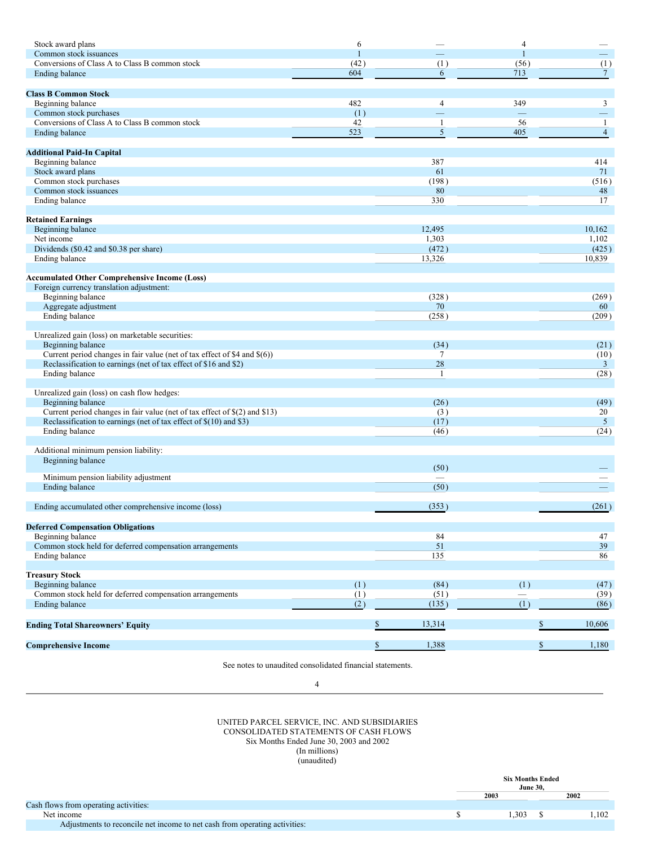| Stock award plans<br>Common stock issuances                                | 6<br>$\mathbf{1}$ |              | 4<br>$\mathbf{1}$ | $\overline{\phantom{0}}$ |
|----------------------------------------------------------------------------|-------------------|--------------|-------------------|--------------------------|
|                                                                            |                   |              |                   |                          |
| Conversions of Class A to Class B common stock                             | (42)              | (1)          | (56)              | (1)<br>$7\phantom{.0}$   |
| Ending balance                                                             | 604               | 6            | 713               |                          |
| <b>Class B Common Stock</b>                                                |                   |              |                   |                          |
| Beginning balance                                                          | 482               | 4            | 349               | 3                        |
| Common stock purchases                                                     | (1)               |              | ÷,                | $\equiv$                 |
| Conversions of Class A to Class B common stock                             | 42                | $\mathbf{1}$ | 56                | $\mathbf{1}$             |
| Ending balance                                                             | 523               | 5            | 405               | $\overline{4}$           |
|                                                                            |                   |              |                   |                          |
| <b>Additional Paid-In Capital</b>                                          |                   |              |                   |                          |
| Beginning balance                                                          |                   | 387          |                   | 414                      |
| Stock award plans                                                          |                   | 61           |                   | 71                       |
| Common stock purchases                                                     |                   | (198)        |                   | (516)                    |
| Common stock issuances                                                     |                   | 80           |                   | $\sqrt{48}$              |
| Ending balance                                                             |                   | 330          |                   | $17\,$                   |
|                                                                            |                   |              |                   |                          |
| <b>Retained Earnings</b>                                                   |                   |              |                   |                          |
| Beginning balance                                                          |                   | 12,495       |                   | 10,162                   |
| Net income                                                                 |                   | 1,303        |                   | 1,102                    |
| Dividends (\$0.42 and \$0.38 per share)                                    |                   | (472)        |                   | (425)                    |
| Ending balance                                                             |                   | 13,326       |                   | 10,839                   |
| <b>Accumulated Other Comprehensive Income (Loss)</b>                       |                   |              |                   |                          |
| Foreign currency translation adjustment:                                   |                   |              |                   |                          |
| Beginning balance                                                          |                   | (328)        |                   | (269)                    |
| Aggregate adjustment                                                       |                   | 70           |                   | 60                       |
| Ending balance                                                             |                   | (258)        |                   | (209)                    |
|                                                                            |                   |              |                   |                          |
| Unrealized gain (loss) on marketable securities:                           |                   |              |                   |                          |
| Beginning balance                                                          |                   | (34)         |                   | (21)                     |
| Current period changes in fair value (net of tax effect of \$4 and \$(6))  |                   | 7            |                   | (10)                     |
| Reclassification to earnings (net of tax effect of \$16 and \$2)           |                   | $28\,$       |                   | $\overline{\mathbf{3}}$  |
| Ending balance                                                             |                   | $\mathbf{1}$ |                   | (28)                     |
|                                                                            |                   |              |                   |                          |
| Unrealized gain (loss) on cash flow hedges:                                |                   |              |                   |                          |
| Beginning balance                                                          |                   | (26)         |                   | (49)                     |
| Current period changes in fair value (net of tax effect of \$(2) and \$13) |                   | (3)          |                   | 20                       |
| Reclassification to earnings (net of tax effect of $$(10)$ and $$3)$ )     |                   | (17)         |                   | 5                        |
| Ending balance                                                             |                   | (46)         |                   | (24)                     |
|                                                                            |                   |              |                   |                          |
| Additional minimum pension liability:                                      |                   |              |                   |                          |
| Beginning balance                                                          |                   | (50)         |                   |                          |
| Minimum pension liability adjustment                                       |                   |              |                   |                          |
| <b>Ending balance</b>                                                      |                   | (50)         |                   |                          |
|                                                                            |                   |              |                   |                          |
| Ending accumulated other comprehensive income (loss)                       |                   | (353)        |                   | (261)                    |
| <b>Deferred Compensation Obligations</b>                                   |                   |              |                   |                          |
| Beginning balance                                                          |                   | 84           |                   |                          |
| Common stock held for deferred compensation arrangements                   |                   | 51           |                   | 47<br>39                 |
|                                                                            |                   | 135          |                   | 86                       |
| Ending balance                                                             |                   |              |                   |                          |
| <b>Treasury Stock</b>                                                      |                   |              |                   |                          |
| Beginning balance                                                          | (1)               | (84)         | (1)               | (47)                     |
| Common stock held for deferred compensation arrangements                   | (1)               | (51)         |                   | (39)                     |
| Ending balance                                                             | (2)               | (135)        | $\overline{(1)}$  | (86)                     |
|                                                                            |                   |              |                   |                          |
| <b>Ending Total Shareowners' Equity</b>                                    |                   | 13,314<br>\$ |                   | \$<br>10,606             |
| <b>Comprehensive Income</b>                                                |                   |              |                   |                          |
|                                                                            |                   | 1,388<br>\$  |                   | \$<br>1,180              |

See notes to unaudited consolidated financial statements.

4

UNITED PARCEL SERVICE, INC. AND SUBSIDIARIES CONSOLIDATED STATEMENTS OF CASH FLOWS Six Months Ended June 30, 2003 and 2002 (In millions) (unaudited)

|                                                                            | <b>Six Months Ended</b> |  |      |  |
|----------------------------------------------------------------------------|-------------------------|--|------|--|
|                                                                            | <b>June 30.</b>         |  |      |  |
|                                                                            | 2003                    |  | 2002 |  |
| Cash flows from operating activities:                                      |                         |  |      |  |
| Net income                                                                 | .303                    |  | .102 |  |
| Adjustments to reconcile net income to net cash from operating activities: |                         |  |      |  |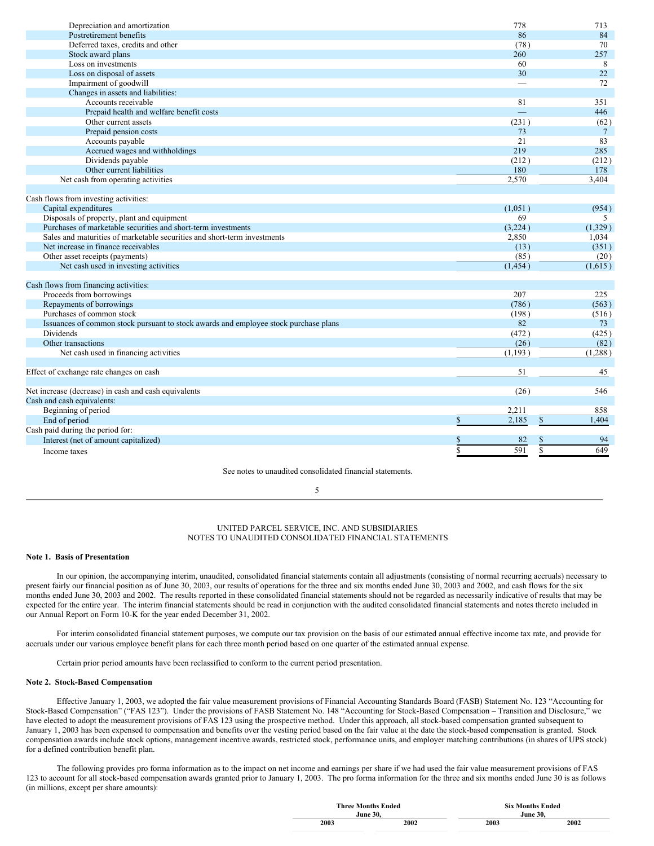| Postretirement benefits<br>86<br>84<br>Deferred taxes, credits and other<br>70<br>(78)<br>Stock award plans<br>260<br>257<br>Loss on investments<br>60<br>8<br>22<br>Loss on disposal of assets<br>30<br>Impairment of goodwill<br>72<br>Changes in assets and liabilities:<br>Accounts receivable<br>81<br>351<br>Prepaid health and welfare benefit costs<br>446<br>Other current assets<br>(231)<br>(62)<br>73<br>Prepaid pension costs<br>$7\phantom{.0}$<br>21<br>83<br>Accounts payable<br>219<br>Accrued wages and withholdings<br>285<br>Dividends payable<br>(212)<br>(212)<br>Other current liabilities<br>180<br>178<br>Net cash from operating activities<br>2,570<br>3.404<br>Cash flows from investing activities:<br>Capital expenditures<br>(1,051)<br>(954)<br>Disposals of property, plant and equipment<br>69<br>5<br>Purchases of marketable securities and short-term investments<br>(3,224)<br>(1,329)<br>Sales and maturities of marketable securities and short-term investments<br>1,034<br>2,850<br>Net increase in finance receivables<br>(351)<br>(13)<br>(85)<br>Other asset receipts (payments)<br>(20)<br>Net cash used in investing activities<br>(1, 454)<br>(1,615)<br>Cash flows from financing activities:<br>Proceeds from borrowings<br>207<br>225<br>Repayments of borrowings<br>(786)<br>(563)<br>Purchases of common stock<br>(198)<br>(516)<br>Issuances of common stock pursuant to stock awards and employee stock purchase plans<br>82<br>73<br>Dividends<br>(425)<br>(472)<br>Other transactions<br>(82)<br>(26)<br>Net cash used in financing activities<br>(1,288)<br>(1,193)<br>Effect of exchange rate changes on cash<br>51<br>45<br>Net increase (decrease) in cash and cash equivalents<br>(26)<br>546<br>Cash and cash equivalents:<br>Beginning of period<br>2,211<br>858<br>$\mathbb{S}$<br>2,185<br>\$<br>1,404<br>End of period<br>Cash paid during the period for:<br>Interest (net of amount capitalized)<br>82<br>94<br>S<br>591<br>649<br>S<br>Income taxes | Depreciation and amortization | 778 | 713 |
|---------------------------------------------------------------------------------------------------------------------------------------------------------------------------------------------------------------------------------------------------------------------------------------------------------------------------------------------------------------------------------------------------------------------------------------------------------------------------------------------------------------------------------------------------------------------------------------------------------------------------------------------------------------------------------------------------------------------------------------------------------------------------------------------------------------------------------------------------------------------------------------------------------------------------------------------------------------------------------------------------------------------------------------------------------------------------------------------------------------------------------------------------------------------------------------------------------------------------------------------------------------------------------------------------------------------------------------------------------------------------------------------------------------------------------------------------------------------------------------------------------------------------------------------------------------------------------------------------------------------------------------------------------------------------------------------------------------------------------------------------------------------------------------------------------------------------------------------------------------------------------------------------------------------------------------------------------------------------------------------------------------------------|-------------------------------|-----|-----|
|                                                                                                                                                                                                                                                                                                                                                                                                                                                                                                                                                                                                                                                                                                                                                                                                                                                                                                                                                                                                                                                                                                                                                                                                                                                                                                                                                                                                                                                                                                                                                                                                                                                                                                                                                                                                                                                                                                                                                                                                                           |                               |     |     |
|                                                                                                                                                                                                                                                                                                                                                                                                                                                                                                                                                                                                                                                                                                                                                                                                                                                                                                                                                                                                                                                                                                                                                                                                                                                                                                                                                                                                                                                                                                                                                                                                                                                                                                                                                                                                                                                                                                                                                                                                                           |                               |     |     |
|                                                                                                                                                                                                                                                                                                                                                                                                                                                                                                                                                                                                                                                                                                                                                                                                                                                                                                                                                                                                                                                                                                                                                                                                                                                                                                                                                                                                                                                                                                                                                                                                                                                                                                                                                                                                                                                                                                                                                                                                                           |                               |     |     |
|                                                                                                                                                                                                                                                                                                                                                                                                                                                                                                                                                                                                                                                                                                                                                                                                                                                                                                                                                                                                                                                                                                                                                                                                                                                                                                                                                                                                                                                                                                                                                                                                                                                                                                                                                                                                                                                                                                                                                                                                                           |                               |     |     |
|                                                                                                                                                                                                                                                                                                                                                                                                                                                                                                                                                                                                                                                                                                                                                                                                                                                                                                                                                                                                                                                                                                                                                                                                                                                                                                                                                                                                                                                                                                                                                                                                                                                                                                                                                                                                                                                                                                                                                                                                                           |                               |     |     |
|                                                                                                                                                                                                                                                                                                                                                                                                                                                                                                                                                                                                                                                                                                                                                                                                                                                                                                                                                                                                                                                                                                                                                                                                                                                                                                                                                                                                                                                                                                                                                                                                                                                                                                                                                                                                                                                                                                                                                                                                                           |                               |     |     |
|                                                                                                                                                                                                                                                                                                                                                                                                                                                                                                                                                                                                                                                                                                                                                                                                                                                                                                                                                                                                                                                                                                                                                                                                                                                                                                                                                                                                                                                                                                                                                                                                                                                                                                                                                                                                                                                                                                                                                                                                                           |                               |     |     |
|                                                                                                                                                                                                                                                                                                                                                                                                                                                                                                                                                                                                                                                                                                                                                                                                                                                                                                                                                                                                                                                                                                                                                                                                                                                                                                                                                                                                                                                                                                                                                                                                                                                                                                                                                                                                                                                                                                                                                                                                                           |                               |     |     |
|                                                                                                                                                                                                                                                                                                                                                                                                                                                                                                                                                                                                                                                                                                                                                                                                                                                                                                                                                                                                                                                                                                                                                                                                                                                                                                                                                                                                                                                                                                                                                                                                                                                                                                                                                                                                                                                                                                                                                                                                                           |                               |     |     |
|                                                                                                                                                                                                                                                                                                                                                                                                                                                                                                                                                                                                                                                                                                                                                                                                                                                                                                                                                                                                                                                                                                                                                                                                                                                                                                                                                                                                                                                                                                                                                                                                                                                                                                                                                                                                                                                                                                                                                                                                                           |                               |     |     |
|                                                                                                                                                                                                                                                                                                                                                                                                                                                                                                                                                                                                                                                                                                                                                                                                                                                                                                                                                                                                                                                                                                                                                                                                                                                                                                                                                                                                                                                                                                                                                                                                                                                                                                                                                                                                                                                                                                                                                                                                                           |                               |     |     |
|                                                                                                                                                                                                                                                                                                                                                                                                                                                                                                                                                                                                                                                                                                                                                                                                                                                                                                                                                                                                                                                                                                                                                                                                                                                                                                                                                                                                                                                                                                                                                                                                                                                                                                                                                                                                                                                                                                                                                                                                                           |                               |     |     |
|                                                                                                                                                                                                                                                                                                                                                                                                                                                                                                                                                                                                                                                                                                                                                                                                                                                                                                                                                                                                                                                                                                                                                                                                                                                                                                                                                                                                                                                                                                                                                                                                                                                                                                                                                                                                                                                                                                                                                                                                                           |                               |     |     |
|                                                                                                                                                                                                                                                                                                                                                                                                                                                                                                                                                                                                                                                                                                                                                                                                                                                                                                                                                                                                                                                                                                                                                                                                                                                                                                                                                                                                                                                                                                                                                                                                                                                                                                                                                                                                                                                                                                                                                                                                                           |                               |     |     |
|                                                                                                                                                                                                                                                                                                                                                                                                                                                                                                                                                                                                                                                                                                                                                                                                                                                                                                                                                                                                                                                                                                                                                                                                                                                                                                                                                                                                                                                                                                                                                                                                                                                                                                                                                                                                                                                                                                                                                                                                                           |                               |     |     |
|                                                                                                                                                                                                                                                                                                                                                                                                                                                                                                                                                                                                                                                                                                                                                                                                                                                                                                                                                                                                                                                                                                                                                                                                                                                                                                                                                                                                                                                                                                                                                                                                                                                                                                                                                                                                                                                                                                                                                                                                                           |                               |     |     |
|                                                                                                                                                                                                                                                                                                                                                                                                                                                                                                                                                                                                                                                                                                                                                                                                                                                                                                                                                                                                                                                                                                                                                                                                                                                                                                                                                                                                                                                                                                                                                                                                                                                                                                                                                                                                                                                                                                                                                                                                                           |                               |     |     |
|                                                                                                                                                                                                                                                                                                                                                                                                                                                                                                                                                                                                                                                                                                                                                                                                                                                                                                                                                                                                                                                                                                                                                                                                                                                                                                                                                                                                                                                                                                                                                                                                                                                                                                                                                                                                                                                                                                                                                                                                                           |                               |     |     |
|                                                                                                                                                                                                                                                                                                                                                                                                                                                                                                                                                                                                                                                                                                                                                                                                                                                                                                                                                                                                                                                                                                                                                                                                                                                                                                                                                                                                                                                                                                                                                                                                                                                                                                                                                                                                                                                                                                                                                                                                                           |                               |     |     |
|                                                                                                                                                                                                                                                                                                                                                                                                                                                                                                                                                                                                                                                                                                                                                                                                                                                                                                                                                                                                                                                                                                                                                                                                                                                                                                                                                                                                                                                                                                                                                                                                                                                                                                                                                                                                                                                                                                                                                                                                                           |                               |     |     |
|                                                                                                                                                                                                                                                                                                                                                                                                                                                                                                                                                                                                                                                                                                                                                                                                                                                                                                                                                                                                                                                                                                                                                                                                                                                                                                                                                                                                                                                                                                                                                                                                                                                                                                                                                                                                                                                                                                                                                                                                                           |                               |     |     |
|                                                                                                                                                                                                                                                                                                                                                                                                                                                                                                                                                                                                                                                                                                                                                                                                                                                                                                                                                                                                                                                                                                                                                                                                                                                                                                                                                                                                                                                                                                                                                                                                                                                                                                                                                                                                                                                                                                                                                                                                                           |                               |     |     |
|                                                                                                                                                                                                                                                                                                                                                                                                                                                                                                                                                                                                                                                                                                                                                                                                                                                                                                                                                                                                                                                                                                                                                                                                                                                                                                                                                                                                                                                                                                                                                                                                                                                                                                                                                                                                                                                                                                                                                                                                                           |                               |     |     |
|                                                                                                                                                                                                                                                                                                                                                                                                                                                                                                                                                                                                                                                                                                                                                                                                                                                                                                                                                                                                                                                                                                                                                                                                                                                                                                                                                                                                                                                                                                                                                                                                                                                                                                                                                                                                                                                                                                                                                                                                                           |                               |     |     |
|                                                                                                                                                                                                                                                                                                                                                                                                                                                                                                                                                                                                                                                                                                                                                                                                                                                                                                                                                                                                                                                                                                                                                                                                                                                                                                                                                                                                                                                                                                                                                                                                                                                                                                                                                                                                                                                                                                                                                                                                                           |                               |     |     |
|                                                                                                                                                                                                                                                                                                                                                                                                                                                                                                                                                                                                                                                                                                                                                                                                                                                                                                                                                                                                                                                                                                                                                                                                                                                                                                                                                                                                                                                                                                                                                                                                                                                                                                                                                                                                                                                                                                                                                                                                                           |                               |     |     |
|                                                                                                                                                                                                                                                                                                                                                                                                                                                                                                                                                                                                                                                                                                                                                                                                                                                                                                                                                                                                                                                                                                                                                                                                                                                                                                                                                                                                                                                                                                                                                                                                                                                                                                                                                                                                                                                                                                                                                                                                                           |                               |     |     |
|                                                                                                                                                                                                                                                                                                                                                                                                                                                                                                                                                                                                                                                                                                                                                                                                                                                                                                                                                                                                                                                                                                                                                                                                                                                                                                                                                                                                                                                                                                                                                                                                                                                                                                                                                                                                                                                                                                                                                                                                                           |                               |     |     |
|                                                                                                                                                                                                                                                                                                                                                                                                                                                                                                                                                                                                                                                                                                                                                                                                                                                                                                                                                                                                                                                                                                                                                                                                                                                                                                                                                                                                                                                                                                                                                                                                                                                                                                                                                                                                                                                                                                                                                                                                                           |                               |     |     |
|                                                                                                                                                                                                                                                                                                                                                                                                                                                                                                                                                                                                                                                                                                                                                                                                                                                                                                                                                                                                                                                                                                                                                                                                                                                                                                                                                                                                                                                                                                                                                                                                                                                                                                                                                                                                                                                                                                                                                                                                                           |                               |     |     |
|                                                                                                                                                                                                                                                                                                                                                                                                                                                                                                                                                                                                                                                                                                                                                                                                                                                                                                                                                                                                                                                                                                                                                                                                                                                                                                                                                                                                                                                                                                                                                                                                                                                                                                                                                                                                                                                                                                                                                                                                                           |                               |     |     |
|                                                                                                                                                                                                                                                                                                                                                                                                                                                                                                                                                                                                                                                                                                                                                                                                                                                                                                                                                                                                                                                                                                                                                                                                                                                                                                                                                                                                                                                                                                                                                                                                                                                                                                                                                                                                                                                                                                                                                                                                                           |                               |     |     |
|                                                                                                                                                                                                                                                                                                                                                                                                                                                                                                                                                                                                                                                                                                                                                                                                                                                                                                                                                                                                                                                                                                                                                                                                                                                                                                                                                                                                                                                                                                                                                                                                                                                                                                                                                                                                                                                                                                                                                                                                                           |                               |     |     |
|                                                                                                                                                                                                                                                                                                                                                                                                                                                                                                                                                                                                                                                                                                                                                                                                                                                                                                                                                                                                                                                                                                                                                                                                                                                                                                                                                                                                                                                                                                                                                                                                                                                                                                                                                                                                                                                                                                                                                                                                                           |                               |     |     |
|                                                                                                                                                                                                                                                                                                                                                                                                                                                                                                                                                                                                                                                                                                                                                                                                                                                                                                                                                                                                                                                                                                                                                                                                                                                                                                                                                                                                                                                                                                                                                                                                                                                                                                                                                                                                                                                                                                                                                                                                                           |                               |     |     |
|                                                                                                                                                                                                                                                                                                                                                                                                                                                                                                                                                                                                                                                                                                                                                                                                                                                                                                                                                                                                                                                                                                                                                                                                                                                                                                                                                                                                                                                                                                                                                                                                                                                                                                                                                                                                                                                                                                                                                                                                                           |                               |     |     |
|                                                                                                                                                                                                                                                                                                                                                                                                                                                                                                                                                                                                                                                                                                                                                                                                                                                                                                                                                                                                                                                                                                                                                                                                                                                                                                                                                                                                                                                                                                                                                                                                                                                                                                                                                                                                                                                                                                                                                                                                                           |                               |     |     |
|                                                                                                                                                                                                                                                                                                                                                                                                                                                                                                                                                                                                                                                                                                                                                                                                                                                                                                                                                                                                                                                                                                                                                                                                                                                                                                                                                                                                                                                                                                                                                                                                                                                                                                                                                                                                                                                                                                                                                                                                                           |                               |     |     |
|                                                                                                                                                                                                                                                                                                                                                                                                                                                                                                                                                                                                                                                                                                                                                                                                                                                                                                                                                                                                                                                                                                                                                                                                                                                                                                                                                                                                                                                                                                                                                                                                                                                                                                                                                                                                                                                                                                                                                                                                                           |                               |     |     |
|                                                                                                                                                                                                                                                                                                                                                                                                                                                                                                                                                                                                                                                                                                                                                                                                                                                                                                                                                                                                                                                                                                                                                                                                                                                                                                                                                                                                                                                                                                                                                                                                                                                                                                                                                                                                                                                                                                                                                                                                                           |                               |     |     |
|                                                                                                                                                                                                                                                                                                                                                                                                                                                                                                                                                                                                                                                                                                                                                                                                                                                                                                                                                                                                                                                                                                                                                                                                                                                                                                                                                                                                                                                                                                                                                                                                                                                                                                                                                                                                                                                                                                                                                                                                                           |                               |     |     |
|                                                                                                                                                                                                                                                                                                                                                                                                                                                                                                                                                                                                                                                                                                                                                                                                                                                                                                                                                                                                                                                                                                                                                                                                                                                                                                                                                                                                                                                                                                                                                                                                                                                                                                                                                                                                                                                                                                                                                                                                                           |                               |     |     |
|                                                                                                                                                                                                                                                                                                                                                                                                                                                                                                                                                                                                                                                                                                                                                                                                                                                                                                                                                                                                                                                                                                                                                                                                                                                                                                                                                                                                                                                                                                                                                                                                                                                                                                                                                                                                                                                                                                                                                                                                                           |                               |     |     |
|                                                                                                                                                                                                                                                                                                                                                                                                                                                                                                                                                                                                                                                                                                                                                                                                                                                                                                                                                                                                                                                                                                                                                                                                                                                                                                                                                                                                                                                                                                                                                                                                                                                                                                                                                                                                                                                                                                                                                                                                                           |                               |     |     |

See notes to unaudited consolidated financial statements.

5

# UNITED PARCEL SERVICE, INC. AND SUBSIDIARIES NOTES TO UNAUDITED CONSOLIDATED FINANCIAL STATEMENTS

## **Note 1. Basis of Presentation**

In our opinion, the accompanying interim, unaudited, consolidated financial statements contain all adjustments (consisting of normal recurring accruals) necessary to present fairly our financial position as of June 30, 2003, our results of operations for the three and six months ended June 30, 2003 and 2002, and cash flows for the six months ended June 30, 2003 and 2002. The results reported in these consolidated financial statements should not be regarded as necessarily indicative of results that may be expected for the entire year. The interim financial statements should be read in conjunction with the audited consolidated financial statements and notes thereto included in our Annual Report on Form 10-K for the year ended December 31, 2002.

For interim consolidated financial statement purposes, we compute our tax provision on the basis of our estimated annual effective income tax rate, and provide for accruals under our various employee benefit plans for each three month period based on one quarter of the estimated annual expense.

Certain prior period amounts have been reclassified to conform to the current period presentation.

## **Note 2. Stock-Based Compensation**

Effective January 1, 2003, we adopted the fair value measurement provisions of Financial Accounting Standards Board (FASB) Statement No. 123 "Accounting for Stock-Based Compensation" ("FAS 123"). Under the provisions of FASB Statement No. 148 "Accounting for Stock-Based Compensation – Transition and Disclosure," we have elected to adopt the measurement provisions of FAS 123 using the prospective method. Under this approach, all stock-based compensation granted subsequent to January 1, 2003 has been expensed to compensation and benefits over the vesting period based on the fair value at the date the stock-based compensation is granted. Stock compensation awards include stock options, management incentive awards, restricted stock, performance units, and employer matching contributions (in shares of UPS stock) for a defined contribution benefit plan.

The following provides pro forma information as to the impact on net income and earnings per share if we had used the fair value measurement provisions of FAS 123 to account for all stock-based compensation awards granted prior to January 1, 2003. The pro forma information for the three and six months ended June 30 is as follows (in millions, except per share amounts):

| <b>Three Months Ended</b><br><b>June 30.</b> |      | <b>Six Months Ended</b><br><b>June 30.</b> |      |
|----------------------------------------------|------|--------------------------------------------|------|
|                                              |      |                                            |      |
| 2003                                         | 2002 | 2003                                       | 2002 |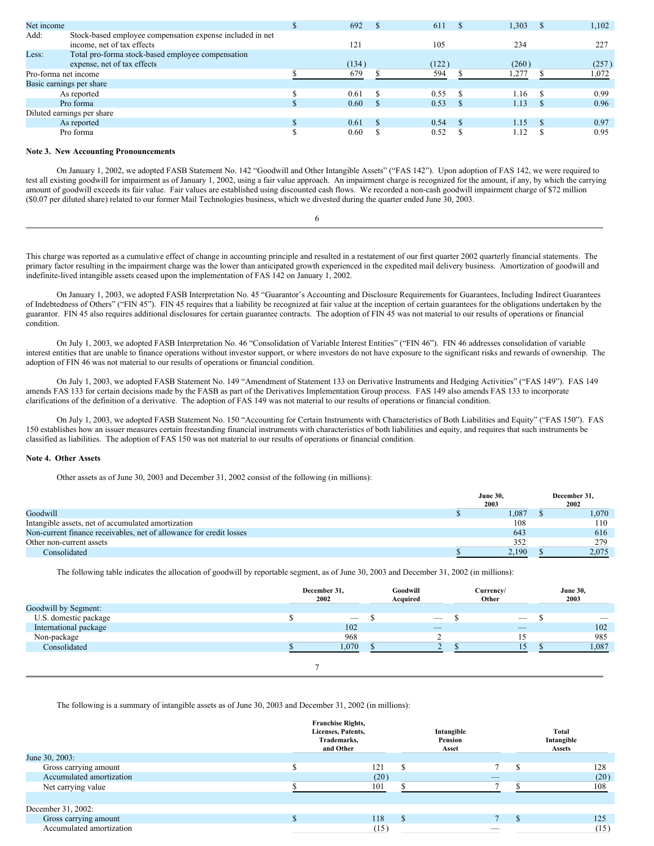| Net income               |                                                                                         | 692   | 611   | 1,303 | 1,102 |
|--------------------------|-----------------------------------------------------------------------------------------|-------|-------|-------|-------|
| Add:                     | Stock-based employee compensation expense included in net<br>income, net of tax effects | 121   | 105   | 234   | 227   |
| Less:                    | Total pro-forma stock-based employee compensation                                       |       |       |       |       |
|                          | expense, net of tax effects                                                             | (134) | (122) | (260) | (257) |
| Pro-forma net income     |                                                                                         | 679   | 594   | 1,27  | 1,072 |
| Basic earnings per share |                                                                                         |       |       |       |       |
|                          | As reported                                                                             | 0.61  | 0.55  | .16   | 0.99  |
|                          | Pro forma                                                                               | 0.60  | 0.53  | 1.13  | 0.96  |
|                          | Diluted earnings per share                                                              |       |       |       |       |
|                          | As reported                                                                             | 0.61  | 0.54  | 1.15  | 0.97  |
|                          | Pro forma                                                                               | 0.60  | 0.52  | 1.12  | 0.95  |

#### **Note 3. New Accounting Pronouncements**

On January 1, 2002, we adopted FASB Statement No. 142 "Goodwill and Other Intangible Assets" ("FAS 142"). Upon adoption of FAS 142, we were required to test all existing goodwill for impairment as of January 1, 2002, using a fair value approach. An impairment charge is recognized for the amount, if any, by which the carrying amount of goodwill exceeds its fair value. Fair values are established using discounted cash flows. We recorded a non-cash goodwill impairment charge of \$72 million (\$0.07 per diluted share) related to our former Mail Technologies business, which we divested during the quarter ended June 30, 2003.

6

This charge was reported as a cumulative effect of change in accounting principle and resulted in a restatement of our first quarter 2002 quarterly financial statements. The primary factor resulting in the impairment charge was the lower than anticipated growth experienced in the expedited mail delivery business. Amortization of goodwill and indefinite-lived intangible assets ceased upon the implementation of FAS 142 on January 1, 2002.

On January 1, 2003, we adopted FASB Interpretation No. 45 "Guarantor's Accounting and Disclosure Requirements for Guarantees, Including Indirect Guarantees of Indebtedness of Others" ("FIN 45"). FIN 45 requires that a liability be recognized at fair value at the inception of certain guarantees for the obligations undertaken by the guarantor. FIN 45 also requires additional disclosures for certain guarantee contracts. The adoption of FIN 45 was not material to our results of operations or financial condition.

On July 1, 2003, we adopted FASB Interpretation No. 46 "Consolidation of Variable Interest Entities" ("FIN 46"). FIN 46 addresses consolidation of variable interest entities that are unable to finance operations without investor support, or where investors do not have exposure to the significant risks and rewards of ownership. The adoption of FIN 46 was not material to our results of operations or financial condition.

On July 1, 2003, we adopted FASB Statement No. 149 "Amendment of Statement 133 on Derivative Instruments and Hedging Activities" ("FAS 149"). FAS 149 amends FAS 133 for certain decisions made by the FASB as part of the Derivatives Implementation Group process. FAS 149 also amends FAS 133 to incorporate clarifications of the definition of a derivative. The adoption of FAS 149 was not material to our results of operations or financial condition.

On July 1, 2003, we adopted FASB Statement No. 150 "Accounting for Certain Instruments with Characteristics of Both Liabilities and Equity" ("FAS 150"). FAS 150 establishes how an issuer measures certain freestanding financial instruments with characteristics of both liabilities and equity, and requires that such instruments be classified as liabilities. The adoption of FAS 150 was not material to our results of operations or financial condition.

## **Note 4. Other Assets**

Other assets as of June 30, 2003 and December 31, 2002 consist of the following (in millions):

|                                                                     | <b>June 30,</b><br>2003 |       | December 31,<br>2002 |
|---------------------------------------------------------------------|-------------------------|-------|----------------------|
| Goodwill                                                            |                         | 1.087 | 1.070                |
| Intangible assets, net of accumulated amortization                  |                         | 108   | 110                  |
| Non-current finance receivables, net of allowance for credit losses |                         | 643   | 616                  |
| Other non-current assets                                            |                         | 352   | 279                  |
| Consolidated                                                        |                         | 2.190 | 2.075                |

The following table indicates the allocation of goodwill by reportable segment, as of June 30, 2003 and December 31, 2002 (in millions):

|                       | December 31,<br>2002 |                                 | Goodwill<br>Acquired            | Currency/<br>Other       | <b>June 30,</b><br>2003 |
|-----------------------|----------------------|---------------------------------|---------------------------------|--------------------------|-------------------------|
| Goodwill by Segment:  |                      |                                 |                                 |                          |                         |
| U.S. domestic package |                      | $\hspace{0.1mm}-\hspace{0.1mm}$ | $\hspace{0.1mm}-\hspace{0.1mm}$ | $\overline{\phantom{a}}$ | _                       |
| International package |                      | 102                             | $\overbrace{\hspace{25mm}}^{}$  | $-$                      | 102                     |
| Non-package           |                      | 968                             |                                 |                          | 985                     |
| Consolidated          |                      | 1,070                           |                                 |                          | 1,087                   |
|                       |                      |                                 |                                 |                          |                         |
|                       |                      |                                 |                                 |                          |                         |

The following is a summary of intangible assets as of June 30, 2003 and December 31, 2002 (in millions):

|                          | <b>Franchise Rights,</b><br>Licenses, Patents,<br>Trademarks,<br>and Other | Intangible<br>Pension<br>Asset |    | Total<br>Intangible<br>Assets |
|--------------------------|----------------------------------------------------------------------------|--------------------------------|----|-------------------------------|
| June 30, 2003:           |                                                                            |                                |    |                               |
| Gross carrying amount    | 121                                                                        |                                |    | 128                           |
| Accumulated amortization | (20)                                                                       |                                | __ | (20)                          |
| Net carrying value       | 101                                                                        |                                |    | 108                           |
|                          |                                                                            |                                |    |                               |
| December 31, 2002:       |                                                                            |                                |    |                               |
| Gross carrying amount    | 118                                                                        | S.                             |    | 125                           |
| Accumulated amortization | (15                                                                        |                                | _  | (15)                          |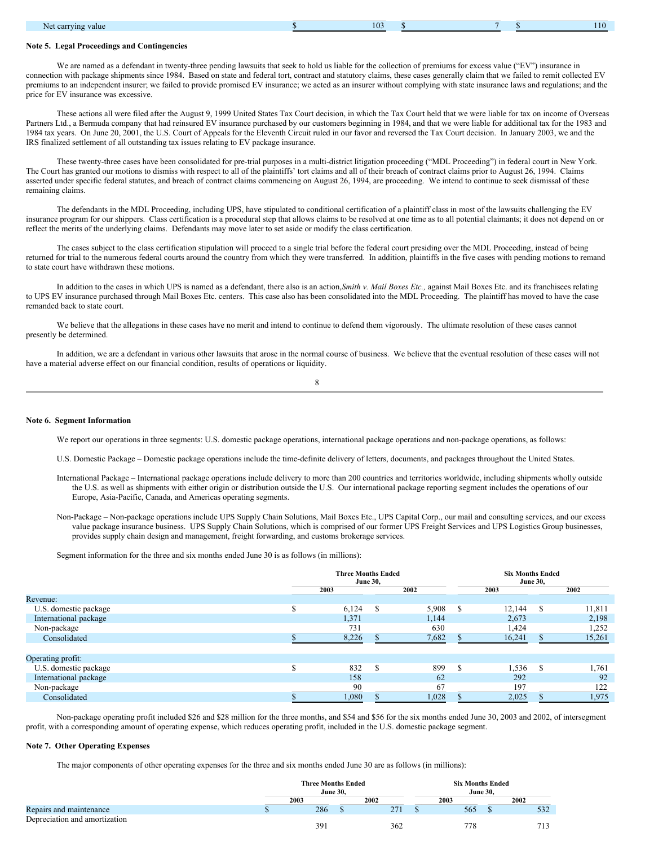| Net carrying value | 103 |  |  |
|--------------------|-----|--|--|
|                    |     |  |  |

## **Note 5. Legal Proceedings and Contingencies**

We are named as a defendant in twenty-three pending lawsuits that seek to hold us liable for the collection of premiums for excess value ("EV") insurance in connection with package shipments since 1984. Based on state and federal tort, contract and statutory claims, these cases generally claim that we failed to remit collected EV premiums to an independent insurer; we failed to provide promised EV insurance; we acted as an insurer without complying with state insurance laws and regulations; and the price for EV insurance was excessive.

These actions all were filed after the August 9, 1999 United States Tax Court decision, in which the Tax Court held that we were liable for tax on income of Overseas Partners Ltd., a Bermuda company that had reinsured EV insurance purchased by our customers beginning in 1984, and that we were liable for additional tax for the 1983 and 1984 tax years. On June 20, 2001, the U.S. Court of Appeals for the Eleventh Circuit ruled in our favor and reversed the Tax Court decision. In January 2003, we and the IRS finalized settlement of all outstanding tax issues relating to EV package insurance.

These twenty-three cases have been consolidated for pre-trial purposes in a multi-district litigation proceeding ("MDL Proceeding") in federal court in New York. The Court has granted our motions to dismiss with respect to all of the plaintiffs' tort claims and all of their breach of contract claims prior to August 26, 1994. Claims asserted under specific federal statutes, and breach of contract claims commencing on August 26, 1994, are proceeding. We intend to continue to seek dismissal of these remaining claims.

The defendants in the MDL Proceeding, including UPS, have stipulated to conditional certification of a plaintiff class in most of the lawsuits challenging the EV insurance program for our shippers. Class certification is a procedural step that allows claims to be resolved at one time as to all potential claimants; it does not depend on or reflect the merits of the underlying claims. Defendants may move later to set aside or modify the class certification.

The cases subject to the class certification stipulation will proceed to a single trial before the federal court presiding over the MDL Proceeding, instead of being returned for trial to the numerous federal courts around the country from which they were transferred. In addition, plaintiffs in the five cases with pending motions to remand to state court have withdrawn these motions.

In addition to the cases in which UPS is named as a defendant, there also is an action,*Smith v. Mail Boxes Etc.,* against Mail Boxes Etc. and its franchisees relating to UPS EV insurance purchased through Mail Boxes Etc. centers. This case also has been consolidated into the MDL Proceeding. The plaintiff has moved to have the case remanded back to state court.

We believe that the allegations in these cases have no merit and intend to continue to defend them vigorously. The ultimate resolution of these cases cannot presently be determined.

In addition, we are a defendant in various other lawsuits that arose in the normal course of business. We believe that the eventual resolution of these cases will not have a material adverse effect on our financial condition, results of operations or liquidity.

| ï<br>×<br>۰, |  |
|--------------|--|
|              |  |

#### **Note 6. Segment Information**

We report our operations in three segments: U.S. domestic package operations, international package operations and non-package operations, as follows:

- U.S. Domestic Package Domestic package operations include the time-definite delivery of letters, documents, and packages throughout the United States.
- International Package International package operations include delivery to more than 200 countries and territories worldwide, including shipments wholly outside the U.S. as well as shipments with either origin or distribution outside the U.S. Our international package reporting segment includes the operations of our Europe, Asia-Pacific, Canada, and Americas operating segments.
- Non-Package Non-package operations include UPS Supply Chain Solutions, Mail Boxes Etc., UPS Capital Corp., our mail and consulting services, and our excess value package insurance business. UPS Supply Chain Solutions, which is comprised of our former UPS Freight Services and UPS Logistics Group businesses, provides supply chain design and management, freight forwarding, and customs brokerage services.

Segment information for the three and six months ended June 30 is as follows (in millions):

|                       | <b>Three Months Ended</b><br><b>June 30,</b> |       |    |       | <b>Six Months Ended</b><br><b>June 30,</b> |        |      |        |
|-----------------------|----------------------------------------------|-------|----|-------|--------------------------------------------|--------|------|--------|
|                       | 2003                                         |       |    | 2002  |                                            | 2003   |      | 2002   |
| Revenue:              |                                              |       |    |       |                                            |        |      |        |
| U.S. domestic package | S                                            | 6,124 | -S | 5,908 | S                                          | 12,144 | -S   | 11,811 |
| International package |                                              | 1,371 |    | 1,144 |                                            | 2,673  |      | 2,198  |
| Non-package           |                                              | 731   |    | 630   |                                            | 1,424  |      | 1,252  |
| Consolidated          |                                              | 8,226 |    | 7,682 |                                            | 16,241 |      | 15,261 |
|                       |                                              |       |    |       |                                            |        |      |        |
| Operating profit:     |                                              |       |    |       |                                            |        |      |        |
| U.S. domestic package | $\sigma$                                     | 832   | S  | 899   | <b>S</b>                                   | 1,536  | - \$ | 1,761  |
| International package |                                              | 158   |    | 62    |                                            | 292    |      | 92     |
| Non-package           |                                              | 90    |    | 67    |                                            | 197    |      | 122    |
| Consolidated          |                                              | 1,080 |    | 1,028 |                                            | 2,025  |      | 1,975  |

Non-package operating profit included \$26 and \$28 million for the three months, and \$54 and \$56 for the six months ended June 30, 2003 and 2002, of intersegment profit, with a corresponding amount of operating expense, which reduces operating profit, included in the U.S. domestic package segment.

#### **Note 7. Other Operating Expenses**

The major components of other operating expenses for the three and six months ended June 30 are as follows (in millions):

|                               | <b>Three Months Ended</b><br><b>June 30.</b> |  |      | <b>Six Months Ended</b><br><b>June 30.</b> |      |  |      |
|-------------------------------|----------------------------------------------|--|------|--------------------------------------------|------|--|------|
|                               | 2003                                         |  | 2002 |                                            | 2003 |  | 2002 |
| Repairs and maintenance       | 286                                          |  |      |                                            | 565  |  | 532  |
| Depreciation and amortization | 391                                          |  | 362  |                                            |      |  | 712  |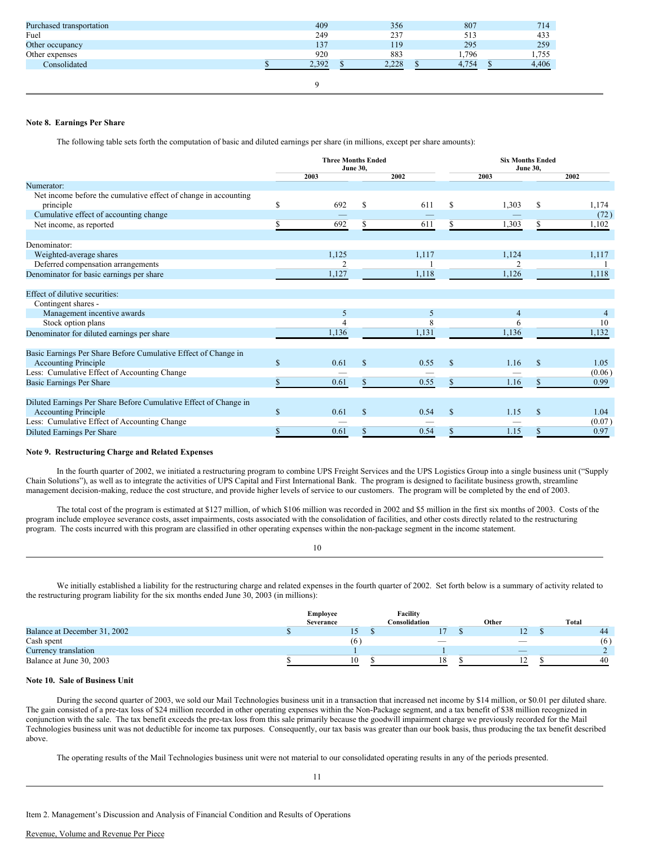| Purchased transportation | 409   | 356   | 807   | 714   |
|--------------------------|-------|-------|-------|-------|
| Fuel                     | 249   | 237   | 513   | 433   |
| Other occupancy          | 137   | 119   | 295   | 259   |
| Other expenses           | 920   | 883   | 1,796 | 1,755 |
| Consolidated             | 2.392 | 2,228 | 4,754 | 4,406 |
|                          |       |       |       |       |
|                          |       |       |       |       |

# **Note 8. Earnings Per Share**

The following table sets forth the computation of basic and diluted earnings per share (in millions, except per share amounts):

|                                                                              | <b>Three Months Ended</b><br><b>June 30,</b> |       |              |       |               | <b>Six Months Ended</b><br><b>June 30,</b> |               |        |  |  |
|------------------------------------------------------------------------------|----------------------------------------------|-------|--------------|-------|---------------|--------------------------------------------|---------------|--------|--|--|
|                                                                              |                                              | 2003  |              | 2002  |               | 2003                                       |               | 2002   |  |  |
| Numerator:                                                                   |                                              |       |              |       |               |                                            |               |        |  |  |
| Net income before the cumulative effect of change in accounting<br>principle | \$                                           | 692   | S            | 611   | S             | 1,303                                      | S             | 1,174  |  |  |
| Cumulative effect of accounting change                                       |                                              |       |              |       |               |                                            |               | (72)   |  |  |
| Net income, as reported                                                      |                                              | 692   | \$           | 611   | S             | 1,303                                      | $\mathbf S$   | 1,102  |  |  |
| Denominator:                                                                 |                                              |       |              |       |               |                                            |               |        |  |  |
| Weighted-average shares                                                      |                                              | 1.125 |              | 1,117 |               | 1.124                                      |               | 1,117  |  |  |
| Deferred compensation arrangements                                           |                                              |       |              |       |               |                                            |               |        |  |  |
| Denominator for basic earnings per share                                     |                                              | 1,127 |              | 1,118 |               | 1,126                                      |               | 1,118  |  |  |
| Effect of dilutive securities:                                               |                                              |       |              |       |               |                                            |               |        |  |  |
| Contingent shares -                                                          |                                              |       |              |       |               |                                            |               |        |  |  |
| Management incentive awards                                                  |                                              | 5     |              | 5     |               | $\overline{4}$                             |               |        |  |  |
| Stock option plans                                                           |                                              | 4     |              | 8     |               | 6                                          |               | 10     |  |  |
| Denominator for diluted earnings per share                                   |                                              | 1,136 |              | 1,131 |               | 1,136                                      |               | 1,132  |  |  |
| Basic Earnings Per Share Before Cumulative Effect of Change in               |                                              |       |              |       |               |                                            |               |        |  |  |
| <b>Accounting Principle</b>                                                  | $\mathbf S$                                  | 0.61  | \$           | 0.55  | <sup>\$</sup> | 1.16                                       | <sup>\$</sup> | 1.05   |  |  |
| Less: Cumulative Effect of Accounting Change                                 |                                              |       |              |       |               |                                            |               | (0.06) |  |  |
| Basic Earnings Per Share                                                     |                                              | 0.61  | $\mathbf{s}$ | 0.55  | $\mathbf{\$}$ | 1.16                                       | $\mathcal{S}$ | 0.99   |  |  |
| Diluted Earnings Per Share Before Cumulative Effect of Change in             |                                              |       |              |       |               |                                            |               |        |  |  |
| <b>Accounting Principle</b>                                                  | \$                                           | 0.61  | \$           | 0.54  | <sup>\$</sup> | 1.15                                       | <sup>\$</sup> | 1.04   |  |  |
| Less: Cumulative Effect of Accounting Change                                 |                                              |       |              |       |               |                                            |               | (0.07) |  |  |
| <b>Diluted Earnings Per Share</b>                                            | \$                                           | 0.61  | \$           | 0.54  | \$            | 1.15                                       | S             | 0.97   |  |  |

## **Note 9. Restructuring Charge and Related Expenses**

In the fourth quarter of 2002, we initiated a restructuring program to combine UPS Freight Services and the UPS Logistics Group into a single business unit ("Supply Chain Solutions"), as well as to integrate the activities of UPS Capital and First International Bank. The program is designed to facilitate business growth, streamline management decision-making, reduce the cost structure, and provide higher levels of service to our customers. The program will be completed by the end of 2003.

The total cost of the program is estimated at \$127 million, of which \$106 million was recorded in 2002 and \$5 million in the first six months of 2003. Costs of the program include employee severance costs, asset impairments, costs associated with the consolidation of facilities, and other costs directly related to the restructuring program. The costs incurred with this program are classified in other operating expenses within the non-package segment in the income statement.

|  | ٦<br>$\sim$ |
|--|-------------|
|  |             |

We initially established a liability for the restructuring charge and related expenses in the fourth quarter of 2002. Set forth below is a summary of activity related to the restructuring program liability for the six months ended June 30, 2003 (in millions):

|                              | Employee<br><b>Severance</b> |                | Facility<br>Consolidation | Other                    | Total |
|------------------------------|------------------------------|----------------|---------------------------|--------------------------|-------|
| Balance at December 31, 2002 |                              | $\overline{ }$ |                           | $\overline{1}$           | 44    |
| Cash spent                   |                              | (6)            | $\sim$                    |                          | (6)   |
| Currency translation         |                              |                |                           | $\overline{\phantom{a}}$ |       |
| Balance at June 30, 2003     |                              | 10             |                           | $\overline{1}$           | 40    |

# **Note 10. Sale of Business Unit**

During the second quarter of 2003, we sold our Mail Technologies business unit in a transaction that increased net income by \$14 million, or \$0.01 per diluted share. The gain consisted of a pre-tax loss of \$24 million recorded in other operating expenses within the Non-Package segment, and a tax benefit of \$38 million recognized in conjunction with the sale. The tax benefit exceeds the pre-tax loss from this sale primarily because the goodwill impairment charge we previously recorded for the Mail Technologies business unit was not deductible for income tax purposes. Consequently, our tax basis was greater than our book basis, thus producing the tax benefit described above.

The operating results of the Mail Technologies business unit were not material to our consolidated operating results in any of the periods presented.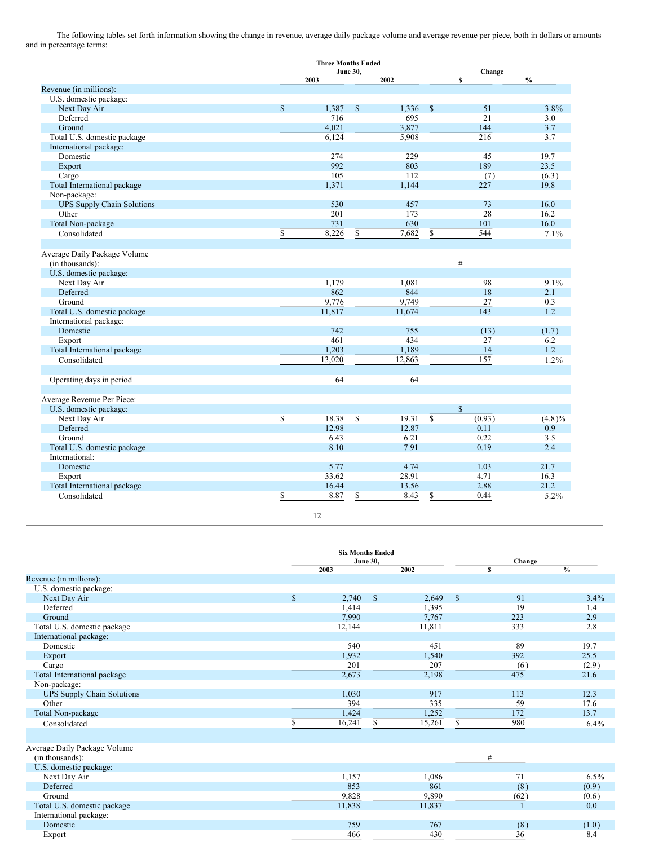The following tables set forth information showing the change in revenue, average daily package volume and average revenue per piece, both in dollars or amounts and in percentage terms:

|                                   |             | <b>Three Months Ended</b><br><b>June 30.</b> |              |        | Change       |              |               |  |
|-----------------------------------|-------------|----------------------------------------------|--------------|--------|--------------|--------------|---------------|--|
|                                   |             | 2003                                         |              | 2002   |              | \$           | $\frac{0}{0}$ |  |
| Revenue (in millions):            |             |                                              |              |        |              |              |               |  |
| U.S. domestic package:            |             |                                              |              |        |              |              |               |  |
| Next Day Air                      | $\mathbf S$ | 1,387                                        | $\mathbb{S}$ | 1,336  | $\mathbb{S}$ | 51           | 3.8%          |  |
| Deferred                          |             | 716                                          |              | 695    |              | 21           | 3.0           |  |
| Ground                            |             | 4,021                                        |              | 3,877  |              | 144          | 3.7           |  |
| Total U.S. domestic package       |             | 6,124                                        |              | 5,908  |              | 216          | 3.7           |  |
| International package:            |             |                                              |              |        |              |              |               |  |
| Domestic                          |             | 274                                          |              | 229    |              | 45           | 19.7          |  |
| Export                            |             | 992                                          |              | 803    |              | 189          | 23.5          |  |
| Cargo                             |             | 105                                          |              | 112    |              | (7)          | (6.3)         |  |
| Total International package       |             | 1,371                                        |              | 1,144  |              | 227          | 19.8          |  |
| Non-package:                      |             |                                              |              |        |              |              |               |  |
| <b>UPS Supply Chain Solutions</b> |             | 530                                          |              | 457    |              | 73           | 16.0          |  |
| Other                             |             | 201                                          |              | 173    |              | 28           | 16.2          |  |
| Total Non-package                 |             | 731                                          |              | 630    |              | 101          | 16.0          |  |
| Consolidated                      | \$          | 8,226                                        | \$           | 7,682  | \$           | 544          | 7.1%          |  |
|                                   |             |                                              |              |        |              |              |               |  |
| Average Daily Package Volume      |             |                                              |              |        |              |              |               |  |
| (in thousands):                   |             |                                              |              |        |              | $\#$         |               |  |
| U.S. domestic package:            |             |                                              |              |        |              |              |               |  |
| Next Day Air                      |             | 1,179                                        |              | 1.081  |              | 98           | 9.1%          |  |
| Deferred                          |             | 862                                          |              | 844    |              | 18           | 2.1           |  |
| Ground                            |             | 9,776                                        |              | 9,749  |              | 27           | 0.3           |  |
| Total U.S. domestic package       |             | 11,817                                       |              | 11,674 |              | 143          | 1.2           |  |
| International package:            |             |                                              |              |        |              |              |               |  |
| Domestic                          |             | 742                                          |              | 755    |              | (13)         | (1.7)         |  |
| Export                            |             | 461                                          |              | 434    |              | 27           | 6.2           |  |
| Total International package       |             | 1,203                                        |              | 1,189  |              | 14           | 1.2           |  |
| Consolidated                      |             | 13,020                                       |              | 12,863 |              | 157          | 1.2%          |  |
|                                   |             |                                              |              |        |              |              |               |  |
| Operating days in period          |             | 64                                           |              | 64     |              |              |               |  |
|                                   |             |                                              |              |        |              |              |               |  |
| Average Revenue Per Piece:        |             |                                              |              |        |              |              |               |  |
| U.S. domestic package:            |             |                                              |              |        |              | $\mathbb{S}$ |               |  |
| Next Day Air                      | S           | 18.38                                        | S            | 19.31  | $\mathbf S$  | (0.93)       | $(4.8)\%$     |  |
| Deferred                          |             | 12.98                                        |              | 12.87  |              | 0.11         | 0.9           |  |
| Ground                            |             | 6.43                                         |              | 6.21   |              | 0.22         | 3.5           |  |
| Total U.S. domestic package       |             | 8.10                                         |              | 7.91   |              | 0.19         | 2.4           |  |
| International:                    |             |                                              |              |        |              |              |               |  |
| Domestic                          |             | 5.77                                         |              | 4.74   |              | 1.03         | 21.7          |  |
| Export                            |             | 33.62                                        |              | 28.91  |              | 4.71         | 16.3          |  |
| Total International package       |             | 16.44                                        |              | 13.56  |              | 2.88         | 21.2          |  |
| Consolidated                      | S           | 8.87                                         | \$           | 8.43   | \$           | 0.44         | $5.2\%$       |  |
|                                   |             |                                              |              |        |              |              |               |  |

12

|                                   |    | <b>Six Months Ended</b><br><b>June 30,</b> |              |        |              | Change |               |  |  |  |
|-----------------------------------|----|--------------------------------------------|--------------|--------|--------------|--------|---------------|--|--|--|
|                                   |    | 2003                                       |              | 2002   |              | S      | $\frac{0}{0}$ |  |  |  |
| Revenue (in millions):            |    |                                            |              |        |              |        |               |  |  |  |
| U.S. domestic package:            |    |                                            |              |        |              |        |               |  |  |  |
| Next Day Air                      | \$ | 2,740                                      | $\mathbb{S}$ | 2,649  | $\mathbb{S}$ | 91     | $3.4\%$       |  |  |  |
| Deferred                          |    | 1,414                                      |              | 1,395  |              | 19     | 1.4           |  |  |  |
| Ground                            |    | 7,990                                      |              | 7,767  |              | 223    | 2.9           |  |  |  |
| Total U.S. domestic package       |    | 12,144                                     |              | 11,811 |              | 333    | 2.8           |  |  |  |
| International package:            |    |                                            |              |        |              |        |               |  |  |  |
| Domestic                          |    | 540                                        |              | 451    |              | 89     | 19.7          |  |  |  |
| Export                            |    | 1,932                                      |              | 1,540  |              | 392    | 25.5          |  |  |  |
| Cargo                             |    | 201                                        |              | 207    |              | (6)    | (2.9)         |  |  |  |
| Total International package       |    | 2,673                                      |              | 2,198  |              | 475    | 21.6          |  |  |  |
| Non-package:                      |    |                                            |              |        |              |        |               |  |  |  |
| <b>UPS Supply Chain Solutions</b> |    | 1,030                                      |              | 917    |              | 113    | 12.3          |  |  |  |
| Other                             |    | 394                                        |              | 335    |              | 59     | 17.6          |  |  |  |
| Total Non-package                 |    | 1,424                                      |              | 1,252  |              | 172    | 13.7          |  |  |  |
| Consolidated                      | S. | 16,241                                     | \$           | 15,261 | \$           | 980    | $6.4\%$       |  |  |  |
|                                   |    |                                            |              |        |              |        |               |  |  |  |
| Average Daily Package Volume      |    |                                            |              |        |              |        |               |  |  |  |
| (in thousands):                   |    |                                            |              |        |              | #      |               |  |  |  |
| U.S. domestic package:            |    |                                            |              |        |              |        |               |  |  |  |
| Next Day Air                      |    | 1,157                                      |              | 1,086  |              | 71     | $6.5\%$       |  |  |  |
| Deferred                          |    | 853                                        |              | 861    |              | (8)    | (0.9)         |  |  |  |
| Ground                            |    | 9,828                                      |              | 9,890  |              | (62)   | (0.6)         |  |  |  |
| Total U.S. domestic package       |    | 11,838                                     |              | 11,837 |              |        | 0.0           |  |  |  |
| International package:            |    |                                            |              |        |              |        |               |  |  |  |
| Domestic                          |    | 759                                        |              | 767    |              | (8)    | (1.0)         |  |  |  |

Export 466 430 36 8.4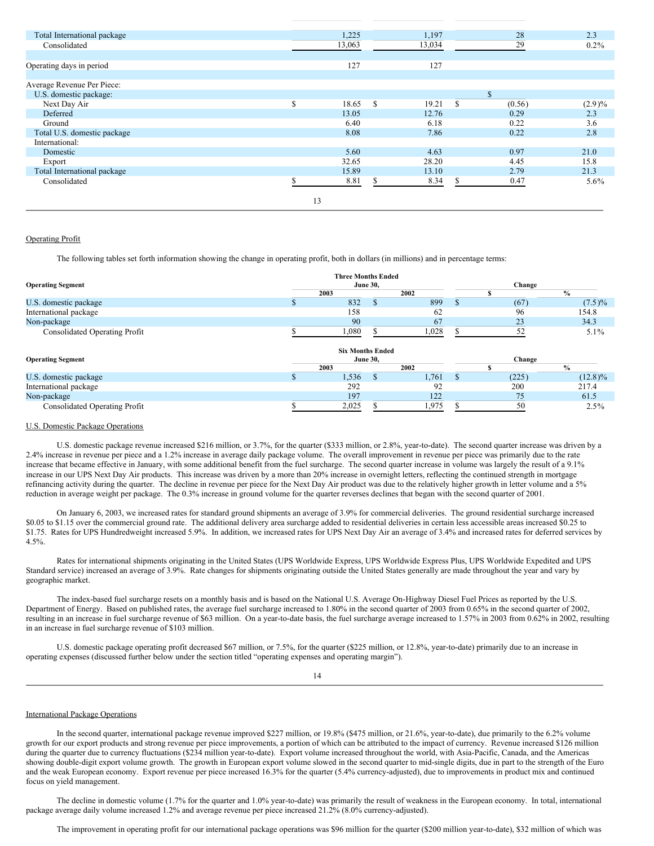| Total International package |    | 1,225  |   | 1,197  |               | 28     | 2.3       |
|-----------------------------|----|--------|---|--------|---------------|--------|-----------|
| Consolidated                |    | 13,063 |   | 13,034 |               | 29     | $0.2\%$   |
|                             |    |        |   |        |               |        |           |
| Operating days in period    |    | 127    |   | 127    |               |        |           |
|                             |    |        |   |        |               |        |           |
| Average Revenue Per Piece:  |    |        |   |        |               |        |           |
| U.S. domestic package:      |    |        |   |        |               | \$     |           |
| Next Day Air                | \$ | 18.65  | S | 19.21  | <sup>\$</sup> | (0.56) | $(2.9)\%$ |
| Deferred                    |    | 13.05  |   | 12.76  |               | 0.29   | 2.3       |
| Ground                      |    | 6.40   |   | 6.18   |               | 0.22   | 3.6       |
| Total U.S. domestic package |    | 8.08   |   | 7.86   |               | 0.22   | 2.8       |
| International:              |    |        |   |        |               |        |           |
| Domestic                    |    | 5.60   |   | 4.63   |               | 0.97   | 21.0      |
| Export                      |    | 32.65  |   | 28.20  |               | 4.45   | 15.8      |
| Total International package |    | 15.89  |   | 13.10  |               | 2.79   | 21.3      |
| Consolidated                |    | 8.81   | S | 8.34   | S             | 0.47   | $5.6\%$   |
|                             |    |        |   |        |               |        |           |
|                             | 13 |        |   |        |               |        |           |

# Operating Profit

The following tables set forth information showing the change in operating profit, both in dollars (in millions) and in percentage terms:

| <b>Operating Segment</b>             | <b>Three Months Ended</b><br><b>June 30,</b> |                 | Change |  |        |               |
|--------------------------------------|----------------------------------------------|-----------------|--------|--|--------|---------------|
|                                      | 2003                                         |                 | 2002   |  |        | $\frac{0}{0}$ |
| U.S. domestic package                | 832                                          |                 | 899    |  | (67)   | $(7.5)\%$     |
| International package                | 158                                          |                 | 62     |  | 96     | 154.8         |
| Non-package                          | 90                                           |                 | 67     |  | 23     | 34.3          |
| <b>Consolidated Operating Profit</b> | 1,080                                        |                 | 1,028  |  | 52     | $5.1\%$       |
|                                      | <b>Six Months Ended</b>                      |                 |        |  |        |               |
| <b>Operating Segment</b>             |                                              | <b>June 30,</b> |        |  | Change |               |
|                                      | 2003                                         |                 | 2002   |  |        | $\frac{0}{0}$ |
| U.S. domestic package                | 1,536                                        |                 | 1,761  |  | (225)  | $(12.8)\%$    |
| International package                | 292                                          |                 | 92     |  | 200    | 217.4         |
| Non-package                          | 197                                          |                 | 122    |  | 75     | 61.5          |
| <b>Consolidated Operating Profit</b> | 2,025                                        |                 | 1,975  |  | 50     | $2.5\%$       |

## U.S. Domestic Package Operations

U.S. domestic package revenue increased \$216 million, or 3.7%, for the quarter (\$333 million, or 2.8%, year-to-date). The second quarter increase was driven by a 2.4% increase in revenue per piece and a 1.2% increase in average daily package volume. The overall improvement in revenue per piece was primarily due to the rate increase that became effective in January, with some additional benefit from the fuel surcharge. The second quarter increase in volume was largely the result of a 9.1% increase in our UPS Next Day Air products. This increase was driven by a more than 20% increase in overnight letters, reflecting the continued strength in mortgage refinancing activity during the quarter. The decline in revenue per piece for the Next Day Air product was due to the relatively higher growth in letter volume and a 5% reduction in average weight per package. The 0.3% increase in ground volume for the quarter reverses declines that began with the second quarter of 2001.

On January 6, 2003, we increased rates for standard ground shipments an average of 3.9% for commercial deliveries. The ground residential surcharge increased \$0.05 to \$1.15 over the commercial ground rate. The additional delivery area surcharge added to residential deliveries in certain less accessible areas increased \$0.25 to \$1.75. Rates for UPS Hundredweight increased 5.9%. In addition, we increased rates for UPS Next Day Air an average of 3.4% and increased rates for deferred services by 4.5%.

Rates for international shipments originating in the United States (UPS Worldwide Express, UPS Worldwide Express Plus, UPS Worldwide Expedited and UPS Standard service) increased an average of 3.9%. Rate changes for shipments originating outside the United States generally are made throughout the year and vary by geographic market.

The index-based fuel surcharge resets on a monthly basis and is based on the National U.S. Average On-Highway Diesel Fuel Prices as reported by the U.S. Department of Energy. Based on published rates, the average fuel surcharge increased to 1.80% in the second quarter of 2003 from 0.65% in the second quarter of 2002, resulting in an increase in fuel surcharge revenue of \$63 million. On a year-to-date basis, the fuel surcharge average increased to 1.57% in 2003 from 0.62% in 2002, resulting in an increase in fuel surcharge revenue of \$103 million.

U.S. domestic package operating profit decreased \$67 million, or 7.5%, for the quarter (\$225 million, or 12.8%, year-to-date) primarily due to an increase in operating expenses (discussed further below under the section titled "operating expenses and operating margin").

14

### International Package Operations

In the second quarter, international package revenue improved \$227 million, or 19.8% (\$475 million, or 21.6%, year-to-date), due primarily to the 6.2% volume growth for our export products and strong revenue per piece improvements, a portion of which can be attributed to the impact of currency. Revenue increased \$126 million during the quarter due to currency fluctuations (\$234 million year-to-date). Export volume increased throughout the world, with Asia-Pacific, Canada, and the Americas showing double-digit export volume growth. The growth in European export volume slowed in the second quarter to mid-single digits, due in part to the strength of the Euro and the weak European economy. Export revenue per piece increased 16.3% for the quarter (5.4% currency-adjusted), due to improvements in product mix and continued focus on yield management.

The decline in domestic volume (1.7% for the quarter and 1.0% year-to-date) was primarily the result of weakness in the European economy. In total, international package average daily volume increased 1.2% and average revenue per piece increased 21.2% (8.0% currency-adjusted).

The improvement in operating profit for our international package operations was \$96 million for the quarter (\$200 million year-to-date), \$32 million of which was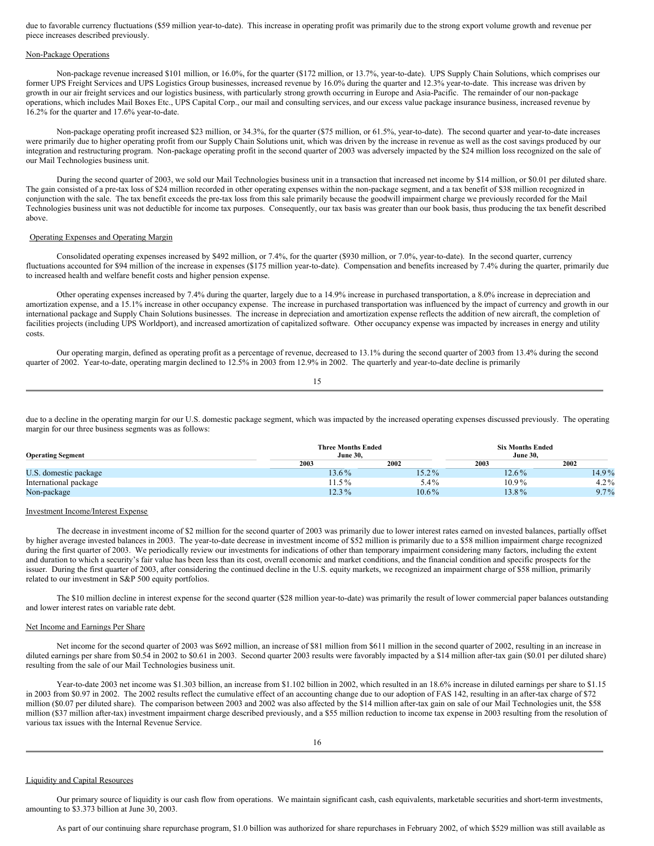due to favorable currency fluctuations (\$59 million year-to-date). This increase in operating profit was primarily due to the strong export volume growth and revenue per piece increases described previously.

#### Non-Package Operations

Non-package revenue increased \$101 million, or 16.0%, for the quarter (\$172 million, or 13.7%, year-to-date). UPS Supply Chain Solutions, which comprises our former UPS Freight Services and UPS Logistics Group businesses, increased revenue by 16.0% during the quarter and 12.3% year-to-date. This increase was driven by growth in our air freight services and our logistics business, with particularly strong growth occurring in Europe and Asia-Pacific. The remainder of our non-package operations, which includes Mail Boxes Etc., UPS Capital Corp., our mail and consulting services, and our excess value package insurance business, increased revenue by 16.2% for the quarter and 17.6% year-to-date.

Non-package operating profit increased \$23 million, or 34.3%, for the quarter (\$75 million, or 61.5%, year-to-date). The second quarter and year-to-date increases were primarily due to higher operating profit from our Supply Chain Solutions unit, which was driven by the increase in revenue as well as the cost savings produced by our integration and restructuring program. Non-package operating profit in the second quarter of 2003 was adversely impacted by the \$24 million loss recognized on the sale of our Mail Technologies business unit.

During the second quarter of 2003, we sold our Mail Technologies business unit in a transaction that increased net income by \$14 million, or \$0.01 per diluted share. The gain consisted of a pre-tax loss of \$24 million recorded in other operating expenses within the non-package segment, and a tax benefit of \$38 million recognized in conjunction with the sale. The tax benefit exceeds the pre-tax loss from this sale primarily because the goodwill impairment charge we previously recorded for the Mail Technologies business unit was not deductible for income tax purposes. Consequently, our tax basis was greater than our book basis, thus producing the tax benefit described above.

#### Operating Expenses and Operating Margin

Consolidated operating expenses increased by \$492 million, or 7.4%, for the quarter (\$930 million, or 7.0%, year-to-date). In the second quarter, currency fluctuations accounted for \$94 million of the increase in expenses (\$175 million year-to-date). Compensation and benefits increased by 7.4% during the quarter, primarily due to increased health and welfare benefit costs and higher pension expense.

Other operating expenses increased by 7.4% during the quarter, largely due to a 14.9% increase in purchased transportation, a 8.0% increase in depreciation and amortization expense, and a 15.1% increase in other occupancy expense. The increase in purchased transportation was influenced by the impact of currency and growth in our international package and Supply Chain Solutions businesses. The increase in depreciation and amortization expense reflects the addition of new aircraft, the completion of facilities projects (including UPS Worldport), and increased amortization of capitalized software. Other occupancy expense was impacted by increases in energy and utility costs.

Our operating margin, defined as operating profit as a percentage of revenue, decreased to 13.1% during the second quarter of 2003 from 13.4% during the second quarter of 2002. Year-to-date, operating margin declined to 12.5% in 2003 from 12.9% in 2002. The quarterly and year-to-date decline is primarily

due to a decline in the operating margin for our U.S. domestic package segment, which was impacted by the increased operating expenses discussed previously. The operating margin for our three business segments was as follows:

| <b>Operating Segment</b> | <b>Three Months Ended</b><br><b>June 30.</b> |          | <b>Six Months Ended</b><br><b>June 30.</b> |         |
|--------------------------|----------------------------------------------|----------|--------------------------------------------|---------|
|                          | 2003                                         | 2002     | 2003                                       | 2002    |
| U.S. domestic package    | 13.6%                                        | 15.2%    | $12.6\%$                                   | 14.9%   |
| International package    | $11.5\%$                                     | 5.4%     | $10.9\%$                                   | $4.2\%$ |
| Non-package              | $12.3\%$                                     | $10.6\%$ | 13.8%                                      | $9.7\%$ |

#### Investment Income/Interest Expense

The decrease in investment income of \$2 million for the second quarter of 2003 was primarily due to lower interest rates earned on invested balances, partially offset by higher average invested balances in 2003. The year-to-date decrease in investment income of \$52 million is primarily due to a \$58 million impairment charge recognized during the first quarter of 2003. We periodically review our investments for indications of other than temporary impairment considering many factors, including the extent and duration to which a security's fair value has been less than its cost, overall economic and market conditions, and the financial condition and specific prospects for the issuer. During the first quarter of 2003, after considering the continued decline in the U.S. equity markets, we recognized an impairment charge of \$58 million, primarily related to our investment in S&P 500 equity portfolios.

The \$10 million decline in interest expense for the second quarter (\$28 million year-to-date) was primarily the result of lower commercial paper balances outstanding and lower interest rates on variable rate debt.

#### Net Income and Earnings Per Share

Net income for the second quarter of 2003 was \$692 million, an increase of \$81 million from \$611 million in the second quarter of 2002, resulting in an increase in diluted earnings per share from \$0.54 in 2002 to \$0.61 in 2003. Second quarter 2003 results were favorably impacted by a \$14 million after-tax gain (\$0.01 per diluted share) resulting from the sale of our Mail Technologies business unit.

Year-to-date 2003 net income was \$1.303 billion, an increase from \$1.102 billion in 2002, which resulted in an 18.6% increase in diluted earnings per share to \$1.15 in 2003 from \$0.97 in 2002. The 2002 results reflect the cumulative effect of an accounting change due to our adoption of FAS 142, resulting in an after-tax charge of \$72 million (\$0.07 per diluted share). The comparison between 2003 and 2002 was also affected by the \$14 million after-tax gain on sale of our Mail Technologies unit, the \$58 million (\$37 million after-tax) investment impairment charge described previously, and a \$55 million reduction to income tax expense in 2003 resulting from the resolution of various tax issues with the Internal Revenue Service.

#### Liquidity and Capital Resources

Our primary source of liquidity is our cash flow from operations. We maintain significant cash, cash equivalents, marketable securities and short-term investments, amounting to \$3.373 billion at June 30, 2003.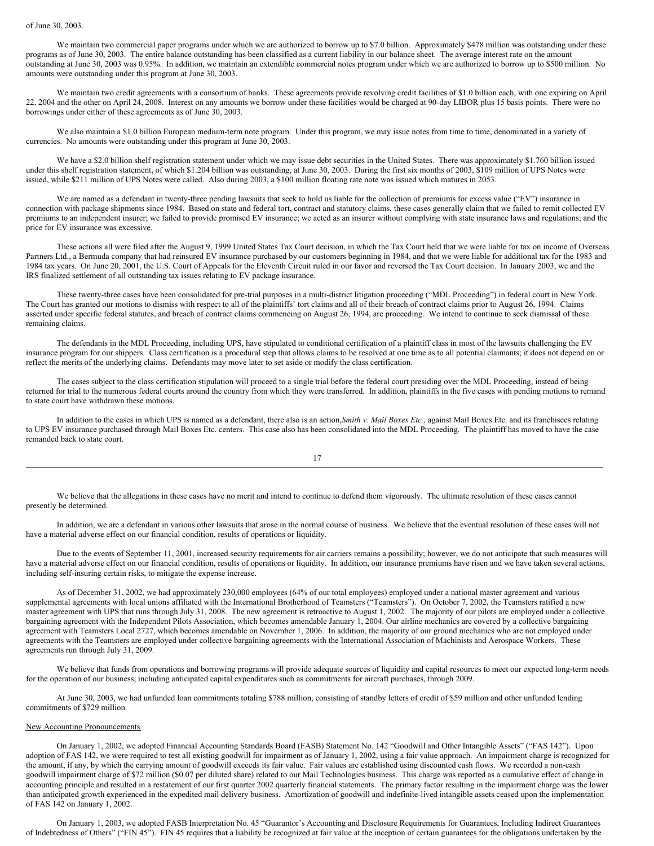We maintain two commercial paper programs under which we are authorized to borrow up to \$7.0 billion. Approximately \$478 million was outstanding under these programs as of June 30, 2003. The entire balance outstanding has been classified as a current liability in our balance sheet. The average interest rate on the amount outstanding at June 30, 2003 was 0.95%. In addition, we maintain an extendible commercial notes program under which we are authorized to borrow up to \$500 million. No amounts were outstanding under this program at June 30, 2003.

We maintain two credit agreements with a consortium of banks. These agreements provide revolving credit facilities of \$1.0 billion each, with one expiring on April 22, 2004 and the other on April 24, 2008. Interest on any amounts we borrow under these facilities would be charged at 90-day LIBOR plus 15 basis points. There were no borrowings under either of these agreements as of June 30, 2003.

We also maintain a \$1.0 billion European medium-term note program. Under this program, we may issue notes from time to time, denominated in a variety of currencies. No amounts were outstanding under this program at June 30, 2003.

We have a \$2.0 billion shelf registration statement under which we may issue debt securities in the United States. There was approximately \$1.760 billion issued under this shelf registration statement, of which \$1.204 billion was outstanding, at June 30, 2003. During the first six months of 2003, \$109 million of UPS Notes were issued, while \$211 million of UPS Notes were called. Also during 2003, a \$100 million floating rate note was issued which matures in 2053.

We are named as a defendant in twenty-three pending lawsuits that seek to hold us liable for the collection of premiums for excess value ("EV") insurance in connection with package shipments since 1984. Based on state and federal tort, contract and statutory claims, these cases generally claim that we failed to remit collected EV premiums to an independent insurer; we failed to provide promised EV insurance; we acted as an insurer without complying with state insurance laws and regulations; and the price for EV insurance was excessive.

These actions all were filed after the August 9, 1999 United States Tax Court decision, in which the Tax Court held that we were liable for tax on income of Overseas Partners Ltd., a Bermuda company that had reinsured EV insurance purchased by our customers beginning in 1984, and that we were liable for additional tax for the 1983 and 1984 tax years. On June 20, 2001, the U.S. Court of Appeals for the Eleventh Circuit ruled in our favor and reversed the Tax Court decision. In January 2003, we and the IRS finalized settlement of all outstanding tax issues relating to EV package insurance.

These twenty-three cases have been consolidated for pre-trial purposes in a multi-district litigation proceeding ("MDL Proceeding") in federal court in New York. The Court has granted our motions to dismiss with respect to all of the plaintiffs' tort claims and all of their breach of contract claims prior to August 26, 1994. Claims asserted under specific federal statutes, and breach of contract claims commencing on August 26, 1994, are proceeding. We intend to continue to seek dismissal of these remaining claims.

The defendants in the MDL Proceeding, including UPS, have stipulated to conditional certification of a plaintiff class in most of the lawsuits challenging the EV insurance program for our shippers. Class certification is a procedural step that allows claims to be resolved at one time as to all potential claimants; it does not depend on or reflect the merits of the underlying claims. Defendants may move later to set aside or modify the class certification.

The cases subject to the class certification stipulation will proceed to a single trial before the federal court presiding over the MDL Proceeding, instead of being returned for trial to the numerous federal courts around the country from which they were transferred. In addition, plaintiffs in the five cases with pending motions to remand to state court have withdrawn these motions.

In addition to the cases in which UPS is named as a defendant, there also is an action,*Smith v. Mail Boxes Etc.,* against Mail Boxes Etc. and its franchisees relating to UPS EV insurance purchased through Mail Boxes Etc. centers. This case also has been consolidated into the MDL Proceeding. The plaintiff has moved to have the case remanded back to state court.

17

We believe that the allegations in these cases have no merit and intend to continue to defend them vigorously. The ultimate resolution of these cases cannot presently be determined.

In addition, we are a defendant in various other lawsuits that arose in the normal course of business. We believe that the eventual resolution of these cases will not have a material adverse effect on our financial condition, results of operations or liquidity.

Due to the events of September 11, 2001, increased security requirements for air carriers remains a possibility; however, we do not anticipate that such measures will have a material adverse effect on our financial condition, results of operations or liquidity. In addition, our insurance premiums have risen and we have taken several actions, including self-insuring certain risks, to mitigate the expense increase.

As of December 31, 2002, we had approximately 230,000 employees (64% of our total employees) employed under a national master agreement and various supplemental agreements with local unions affiliated with the International Brotherhood of Teamsters ("Teamsters"). On October 7, 2002, the Teamsters ratified a new master agreement with UPS that runs through July 31, 2008. The new agreement is retroactive to August 1, 2002. The majority of our pilots are employed under a collective bargaining agreement with the Independent Pilots Association, which becomes amendable January 1, 2004. Our airline mechanics are covered by a collective bargaining agreement with Teamsters Local 2727, which becomes amendable on November 1, 2006. In addition, the majority of our ground mechanics who are not employed under agreements with the Teamsters are employed under collective bargaining agreements with the International Association of Machinists and Aerospace Workers. These agreements run through July 31, 2009.

We believe that funds from operations and borrowing programs will provide adequate sources of liquidity and capital resources to meet our expected long-term needs for the operation of our business, including anticipated capital expenditures such as commitments for aircraft purchases, through 2009.

At June 30, 2003, we had unfunded loan commitments totaling \$788 million, consisting of standby letters of credit of \$59 million and other unfunded lending commitments of \$729 million.

# New Accounting Pronouncements

On January 1, 2002, we adopted Financial Accounting Standards Board (FASB) Statement No. 142 "Goodwill and Other Intangible Assets" ("FAS 142"). Upon adoption of FAS 142, we were required to test all existing goodwill for impairment as of January 1, 2002, using a fair value approach. An impairment charge is recognized for the amount, if any, by which the carrying amount of goodwill exceeds its fair value. Fair values are established using discounted cash flows. We recorded a non-cash goodwill impairment charge of \$72 million (\$0.07 per diluted share) related to our Mail Technologies business. This charge was reported as a cumulative effect of change in accounting principle and resulted in a restatement of our first quarter 2002 quarterly financial statements. The primary factor resulting in the impairment charge was the lower than anticipated growth experienced in the expedited mail delivery business. Amortization of goodwill and indefinite-lived intangible assets ceased upon the implementation of FAS 142 on January 1, 2002.

On January 1, 2003, we adopted FASB Interpretation No. 45 "Guarantor's Accounting and Disclosure Requirements for Guarantees, Including Indirect Guarantees of Indebtedness of Others" ("FIN 45"). FIN 45 requires that a liability be recognized at fair value at the inception of certain guarantees for the obligations undertaken by the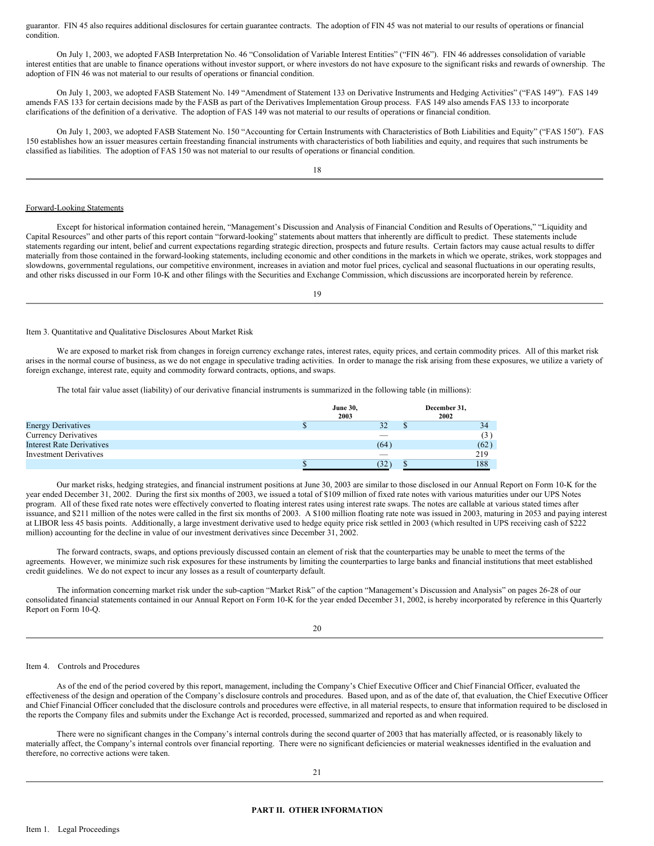guarantor. FIN 45 also requires additional disclosures for certain guarantee contracts. The adoption of FIN 45 was not material to our results of operations or financial condition.

On July 1, 2003, we adopted FASB Interpretation No. 46 "Consolidation of Variable Interest Entities" ("FIN 46"). FIN 46 addresses consolidation of variable interest entities that are unable to finance operations without investor support, or where investors do not have exposure to the significant risks and rewards of ownership. The adoption of FIN 46 was not material to our results of operations or financial condition.

On July 1, 2003, we adopted FASB Statement No. 149 "Amendment of Statement 133 on Derivative Instruments and Hedging Activities" ("FAS 149"). FAS 149 amends FAS 133 for certain decisions made by the FASB as part of the Derivatives Implementation Group process. FAS 149 also amends FAS 133 to incorporate clarifications of the definition of a derivative. The adoption of FAS 149 was not material to our results of operations or financial condition.

On July 1, 2003, we adopted FASB Statement No. 150 "Accounting for Certain Instruments with Characteristics of Both Liabilities and Equity" ("FAS 150"). FAS 150 establishes how an issuer measures certain freestanding financial instruments with characteristics of both liabilities and equity, and requires that such instruments be classified as liabilities. The adoption of FAS 150 was not material to our results of operations or financial condition.

18

## Forward-Looking Statements

Except for historical information contained herein, "Management's Discussion and Analysis of Financial Condition and Results of Operations," "Liquidity and Capital Resources" and other parts of this report contain "forward-looking" statements about matters that inherently are difficult to predict. These statements include statements regarding our intent, belief and current expectations regarding strategic direction, prospects and future results. Certain factors may cause actual results to differ materially from those contained in the forward-looking statements, including economic and other conditions in the markets in which we operate, strikes, work stoppages and slowdowns, governmental regulations, our competitive environment, increases in aviation and motor fuel prices, cyclical and seasonal fluctuations in our operating results, and other risks discussed in our Form 10-K and other filings with the Securities and Exchange Commission, which discussions are incorporated herein by reference.

19

#### Item 3. Quantitative and Qualitative Disclosures About Market Risk

We are exposed to market risk from changes in foreign currency exchange rates, interest rates, equity prices, and certain commodity prices. All of this market risk arises in the normal course of business, as we do not engage in speculative trading activities. In order to manage the risk arising from these exposures, we utilize a variety of foreign exchange, interest rate, equity and commodity forward contracts, options, and swaps.

The total fair value asset (liability) of our derivative financial instruments is summarized in the following table (in millions):

|                                  | <b>June 30,</b><br>2003 |      | December 31,<br>2002 |      |
|----------------------------------|-------------------------|------|----------------------|------|
| <b>Energy Derivatives</b>        |                         |      |                      | 34   |
| <b>Currency Derivatives</b>      |                         |      |                      |      |
| <b>Interest Rate Derivatives</b> |                         | (64) |                      | (62) |
| <b>Investment Derivatives</b>    |                         |      |                      | 219  |
|                                  |                         | 32   |                      | 188  |

Our market risks, hedging strategies, and financial instrument positions at June 30, 2003 are similar to those disclosed in our Annual Report on Form 10-K for the year ended December 31, 2002. During the first six months of 2003, we issued a total of \$109 million of fixed rate notes with various maturities under our UPS Notes program. All of these fixed rate notes were effectively converted to floating interest rates using interest rate swaps. The notes are callable at various stated times after issuance, and \$211 million of the notes were called in the first six months of 2003. A \$100 million floating rate note was issued in 2003, maturing in 2053 and paying interest at LIBOR less 45 basis points. Additionally, a large investment derivative used to hedge equity price risk settled in 2003 (which resulted in UPS receiving cash of \$222 million) accounting for the decline in value of our investment derivatives since December 31, 2002.

The forward contracts, swaps, and options previously discussed contain an element of risk that the counterparties may be unable to meet the terms of the agreements. However, we minimize such risk exposures for these instruments by limiting the counterparties to large banks and financial institutions that meet established credit guidelines. We do not expect to incur any losses as a result of counterparty default.

The information concerning market risk under the sub-caption "Market Risk" of the caption "Management's Discussion and Analysis" on pages 26-28 of our consolidated financial statements contained in our Annual Report on Form 10-K for the year ended December 31, 2002, is hereby incorporated by reference in this Quarterly Report on Form 10-Q.

## 20

#### Item 4. Controls and Procedures

As of the end of the period covered by this report, management, including the Company's Chief Executive Officer and Chief Financial Officer, evaluated the effectiveness of the design and operation of the Company's disclosure controls and procedures. Based upon, and as of the date of, that evaluation, the Chief Executive Officer and Chief Financial Officer concluded that the disclosure controls and procedures were effective, in all material respects, to ensure that information required to be disclosed in the reports the Company files and submits under the Exchange Act is recorded, processed, summarized and reported as and when required.

There were no significant changes in the Company's internal controls during the second quarter of 2003 that has materially affected, or is reasonably likely to materially affect, the Company's internal controls over financial reporting. There were no significant deficiencies or material weaknesses identified in the evaluation and therefore, no corrective actions were taken.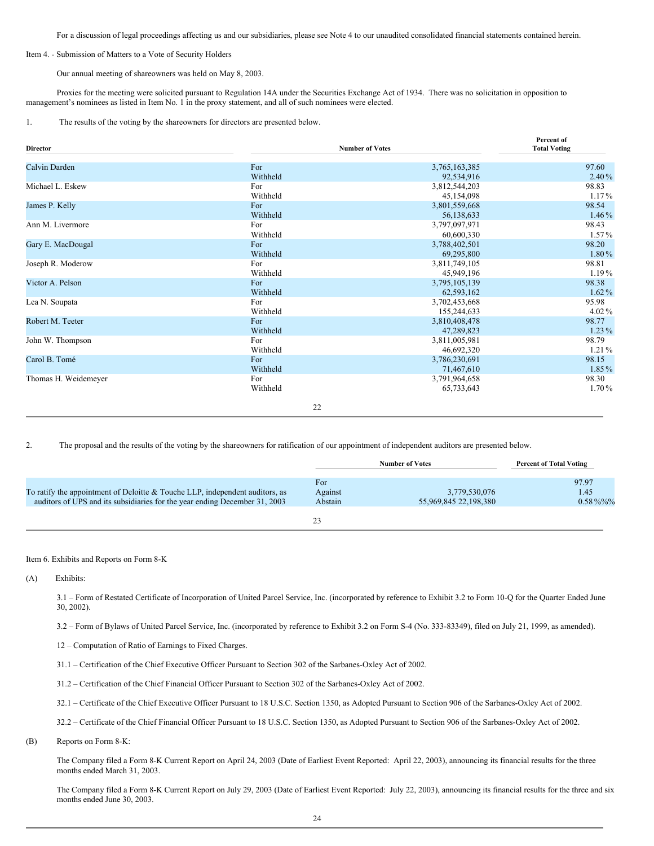For a discussion of legal proceedings affecting us and our subsidiaries, please see Note 4 to our unaudited consolidated financial statements contained herein.

#### Item 4. - Submission of Matters to a Vote of Security Holders

Our annual meeting of shareowners was held on May 8, 2003.

Proxies for the meeting were solicited pursuant to Regulation 14A under the Securities Exchange Act of 1934. There was no solicitation in opposition to management's nominees as listed in Item No. 1 in the proxy statement, and all of such nominees were elected.

1. The results of the voting by the shareowners for directors are presented below.

| Director             |          | <b>Number of Votes</b> |                     |
|----------------------|----------|------------------------|---------------------|
|                      |          |                        | <b>Total Voting</b> |
| Calvin Darden        | For      | 3,765,163,385          | 97.60               |
|                      | Withheld | 92,534,916             | $2.40\%$            |
| Michael L. Eskew     | For      | 3,812,544,203          | 98.83               |
|                      | Withheld | 45,154,098             | $1.17\%$            |
| James P. Kelly       | For      | 3,801,559,668          | 98.54               |
|                      | Withheld | 56,138,633             | $1.46\%$            |
| Ann M. Livermore     | For      | 3,797,097,971          | 98.43               |
|                      | Withheld | 60,600,330             | $1.57\%$            |
| Gary E. MacDougal    | For      | 3,788,402,501          | 98.20               |
|                      | Withheld | 69,295,800             | $1.80\%$            |
| Joseph R. Moderow    | For      | 3,811,749,105          | 98.81               |
|                      | Withheld | 45,949,196             | $1.19\%$            |
| Victor A. Pelson     | For      | 3,795,105,139          | 98.38               |
|                      | Withheld | 62,593,162             | $1.62\%$            |
| Lea N. Soupata       | For      | 3,702,453,668          | 95.98               |
|                      | Withheld | 155,244,633            | 4.02%               |
| Robert M. Teeter     | For      | 3,810,408,478          | 98.77               |
|                      | Withheld | 47,289,823             | $1.23\%$            |
| John W. Thompson     | For      | 3,811,005,981          | 98.79               |
|                      | Withheld | 46,692,320             | $1.21\%$            |
| Carol B. Tomé        | For      | 3,786,230,691          | 98.15               |
|                      | Withheld | 71,467,610             | $1.85\%$            |
| Thomas H. Weidemeyer | For      | 3,791,964,658          | 98.30               |
|                      | Withheld | 65,733,643             | $1.70\%$            |
|                      | 22       |                        |                     |

2. The proposal and the results of the voting by the shareowners for ratification of our appointment of independent auditors are presented below.

|                                                                                                                                                            | <b>Number of Votes</b>    |                                        | <b>Percent of Total Voting</b>  |  |
|------------------------------------------------------------------------------------------------------------------------------------------------------------|---------------------------|----------------------------------------|---------------------------------|--|
| To ratify the appointment of Deloitte & Touche LLP, independent auditors, as<br>auditors of UPS and its subsidiaries for the year ending December 31, 2003 | For<br>Against<br>Abstain | 3,779,530,076<br>55,969,845 22,198,380 | 97.97<br>1.45<br>$0.58\,\%/0\%$ |  |
|                                                                                                                                                            | າເ<br><u>.</u>            |                                        |                                 |  |

Item 6. Exhibits and Reports on Form 8-K

(A) Exhibits:

3.1 – Form of Restated Certificate of Incorporation of United Parcel Service, Inc. (incorporated by reference to Exhibit 3.2 to Form 10-Q for the Quarter Ended June 30, 2002).

3.2 – Form of Bylaws of United Parcel Service, Inc. (incorporated by reference to Exhibit 3.2 on Form S-4 (No. 333-83349), filed on July 21, 1999, as amended).

12 – Computation of Ratio of Earnings to Fixed Charges.

31.1 – Certification of the Chief Executive Officer Pursuant to Section 302 of the Sarbanes-Oxley Act of 2002.

31.2 – Certification of the Chief Financial Officer Pursuant to Section 302 of the Sarbanes-Oxley Act of 2002.

32.1 – Certificate of the Chief Executive Officer Pursuant to 18 U.S.C. Section 1350, as Adopted Pursuant to Section 906 of the Sarbanes-Oxley Act of 2002.

32.2 – Certificate of the Chief Financial Officer Pursuant to 18 U.S.C. Section 1350, as Adopted Pursuant to Section 906 of the Sarbanes-Oxley Act of 2002.

(B) Reports on Form 8-K:

The Company filed a Form 8-K Current Report on April 24, 2003 (Date of Earliest Event Reported: April 22, 2003), announcing its financial results for the three months ended March 31, 2003.

The Company filed a Form 8-K Current Report on July 29, 2003 (Date of Earliest Event Reported: July 22, 2003), announcing its financial results for the three and six months ended June 30, 2003.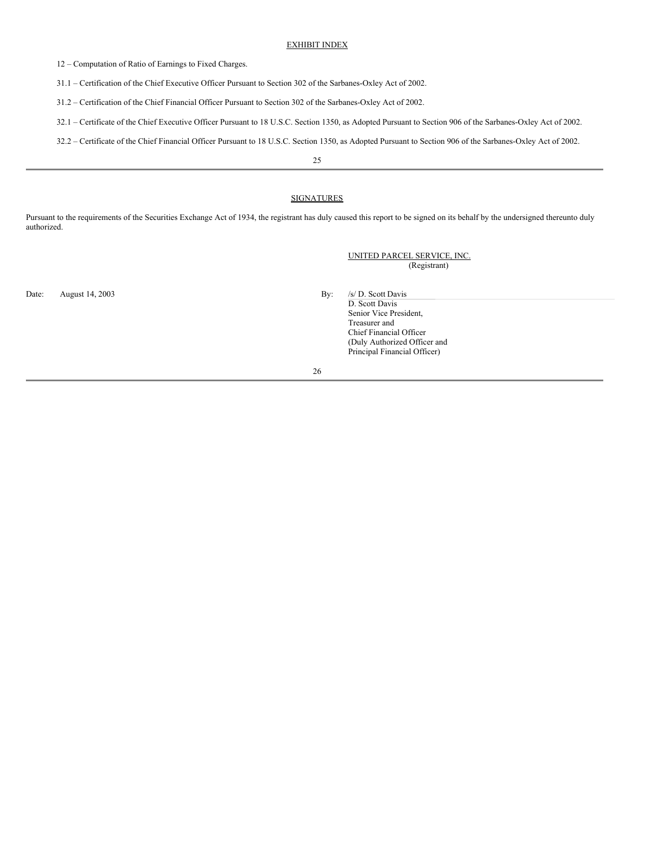## EXHIBIT INDEX

12 – Computation of Ratio of Earnings to Fixed Charges.

31.1 – Certification of the Chief Executive Officer Pursuant to Section 302 of the Sarbanes-Oxley Act of 2002.

31.2 – Certification of the Chief Financial Officer Pursuant to Section 302 of the Sarbanes-Oxley Act of 2002.

32.1 – Certificate of the Chief Executive Officer Pursuant to 18 U.S.C. Section 1350, as Adopted Pursuant to Section 906 of the Sarbanes-Oxley Act of 2002.

32.2 – Certificate of the Chief Financial Officer Pursuant to 18 U.S.C. Section 1350, as Adopted Pursuant to Section 906 of the Sarbanes-Oxley Act of 2002.

## 25

# **SIGNATURES**

Pursuant to the requirements of the Securities Exchange Act of 1934, the registrant has duly caused this report to be signed on its behalf by the undersigned thereunto duly authorized.

> UNITED PARCEL SERVICE, INC. (Registrant)

Date: August 14, 2003 By: /s/ D. Scott Davis

D. Scott Davis Senior Vice President, Treasurer and Chief Financial Officer (Duly Authorized Officer and Principal Financial Officer)

## 26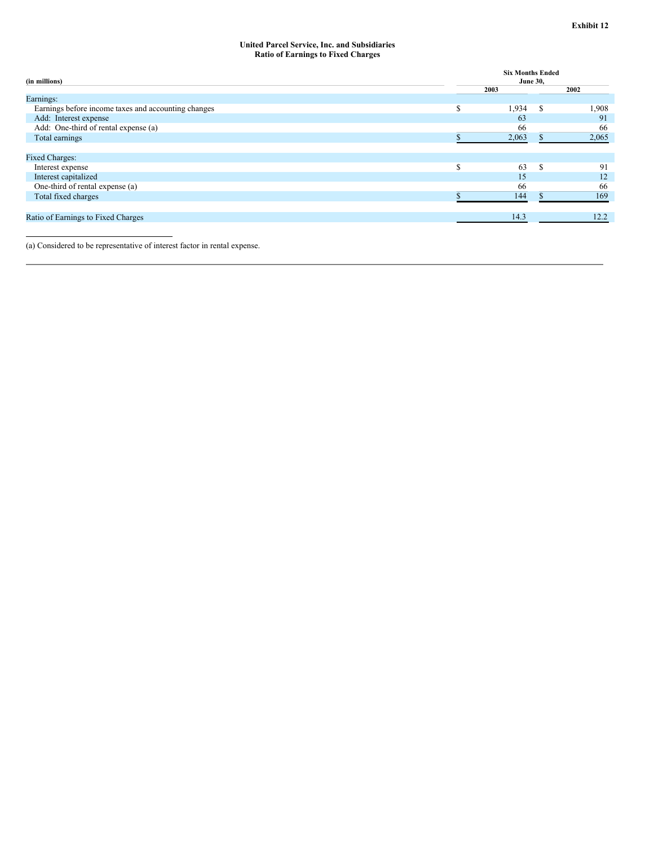#### **United Parcel Service, Inc. and Subsidiaries Ratio of Earnings to Fixed Charges**

| (in millions)                                       | <b>Six Months Ended</b><br><b>June 30,</b> |                     |       |  |
|-----------------------------------------------------|--------------------------------------------|---------------------|-------|--|
|                                                     | 2003                                       |                     | 2002  |  |
| Earnings:                                           |                                            |                     |       |  |
| Earnings before income taxes and accounting changes | 1,934<br>ъ                                 | <sup>\$</sup>       | 1,908 |  |
| Add: Interest expense                               |                                            | 63                  | 91    |  |
| Add: One-third of rental expense (a)                |                                            | -66                 | 66    |  |
| Total earnings                                      | 2,063                                      |                     | 2,065 |  |
|                                                     |                                            |                     |       |  |
| <b>Fixed Charges:</b>                               |                                            |                     |       |  |
| Interest expense                                    |                                            | <sup>\$</sup><br>63 | 91    |  |
| Interest capitalized                                |                                            | 15                  | 12    |  |
| One-third of rental expense (a)                     |                                            | 66                  | 66    |  |
| Total fixed charges                                 | 144                                        |                     | 169   |  |
|                                                     |                                            |                     |       |  |
| Ratio of Earnings to Fixed Charges                  | 14.3                                       |                     | 12.2  |  |
|                                                     |                                            |                     |       |  |

(a) Considered to be representative of interest factor in rental expense.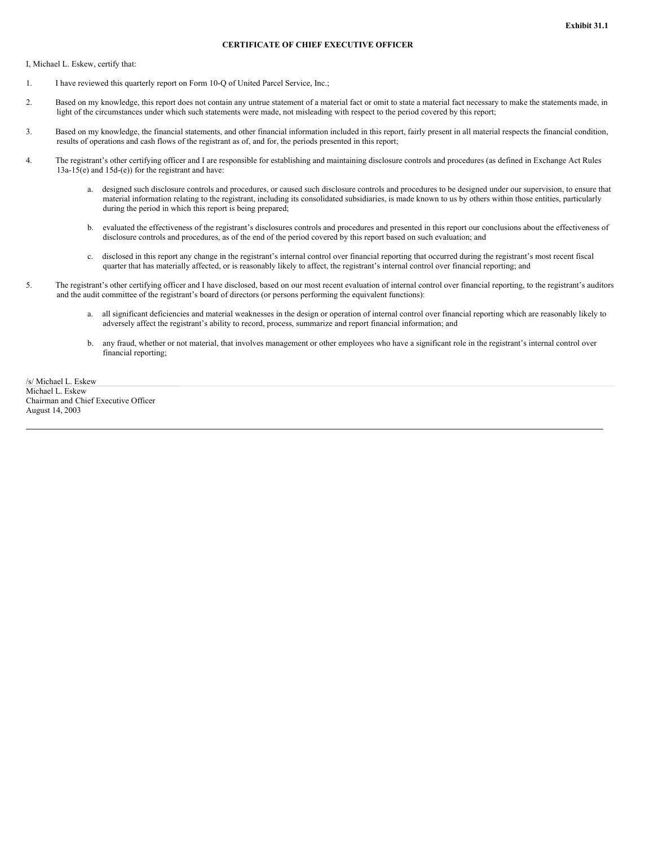# **CERTIFICATE OF CHIEF EXECUTIVE OFFICER**

I, Michael L. Eskew, certify that:

- 1. I have reviewed this quarterly report on Form 10-Q of United Parcel Service, Inc.;
- 2. Based on my knowledge, this report does not contain any untrue statement of a material fact or omit to state a material fact necessary to make the statements made, in light of the circumstances under which such statements were made, not misleading with respect to the period covered by this report;
- 3. Based on my knowledge, the financial statements, and other financial information included in this report, fairly present in all material respects the financial condition, results of operations and cash flows of the registrant as of, and for, the periods presented in this report;
- 4. The registrant's other certifying officer and I are responsible for establishing and maintaining disclosure controls and procedures (as defined in Exchange Act Rules 13a-15(e) and 15d-(e)) for the registrant and have:
	- a. designed such disclosure controls and procedures, or caused such disclosure controls and procedures to be designed under our supervision, to ensure that material information relating to the registrant, including its consolidated subsidiaries, is made known to us by others within those entities, particularly during the period in which this report is being prepared;
	- b. evaluated the effectiveness of the registrant's disclosures controls and procedures and presented in this report our conclusions about the effectiveness of disclosure controls and procedures, as of the end of the period covered by this report based on such evaluation; and
	- c. disclosed in this report any change in the registrant's internal control over financial reporting that occurred during the registrant's most recent fiscal quarter that has materially affected, or is reasonably likely to affect, the registrant's internal control over financial reporting; and
- 5. The registrant's other certifying officer and I have disclosed, based on our most recent evaluation of internal control over financial reporting, to the registrant's auditors and the audit committee of the registrant's board of directors (or persons performing the equivalent functions):
	- a. all significant deficiencies and material weaknesses in the design or operation of internal control over financial reporting which are reasonably likely to adversely affect the registrant's ability to record, process, summarize and report financial information; and
	- b. any fraud, whether or not material, that involves management or other employees who have a significant role in the registrant's internal control over financial reporting;

/s/ Michael L. Eskew Michael L. Eskew Chairman and Chief Executive Officer August 14, 2003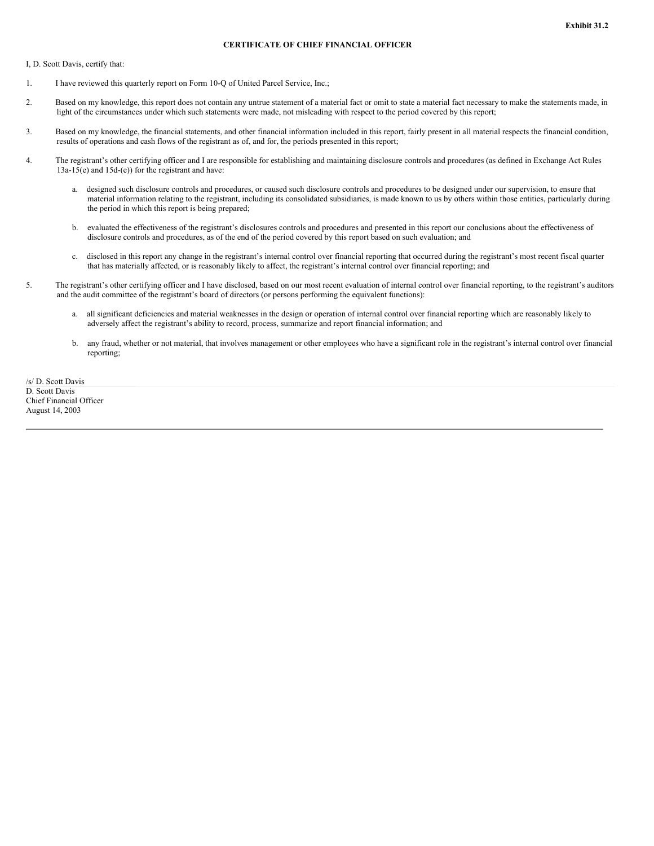# **CERTIFICATE OF CHIEF FINANCIAL OFFICER**

I, D. Scott Davis, certify that:

- 1. I have reviewed this quarterly report on Form 10-Q of United Parcel Service, Inc.;
- 2. Based on my knowledge, this report does not contain any untrue statement of a material fact or omit to state a material fact necessary to make the statements made, in light of the circumstances under which such statements were made, not misleading with respect to the period covered by this report;
- 3. Based on my knowledge, the financial statements, and other financial information included in this report, fairly present in all material respects the financial condition, results of operations and cash flows of the registrant as of, and for, the periods presented in this report;
- 4. The registrant's other certifying officer and I are responsible for establishing and maintaining disclosure controls and procedures (as defined in Exchange Act Rules 13a-15(e) and 15d-(e)) for the registrant and have:
	- a. designed such disclosure controls and procedures, or caused such disclosure controls and procedures to be designed under our supervision, to ensure that material information relating to the registrant, including its consolidated subsidiaries, is made known to us by others within those entities, particularly during the period in which this report is being prepared;
	- b. evaluated the effectiveness of the registrant's disclosures controls and procedures and presented in this report our conclusions about the effectiveness of disclosure controls and procedures, as of the end of the period covered by this report based on such evaluation; and
	- c. disclosed in this report any change in the registrant's internal control over financial reporting that occurred during the registrant's most recent fiscal quarter that has materially affected, or is reasonably likely to affect, the registrant's internal control over financial reporting; and
- 5. The registrant's other certifying officer and I have disclosed, based on our most recent evaluation of internal control over financial reporting, to the registrant's auditors and the audit committee of the registrant's board of directors (or persons performing the equivalent functions):
	- a. all significant deficiencies and material weaknesses in the design or operation of internal control over financial reporting which are reasonably likely to adversely affect the registrant's ability to record, process, summarize and report financial information; and
	- b. any fraud, whether or not material, that involves management or other employees who have a significant role in the registrant's internal control over financial reporting;

/s/ D. Scott Davis D. Scott Davis Chief Financial Officer August 14, 2003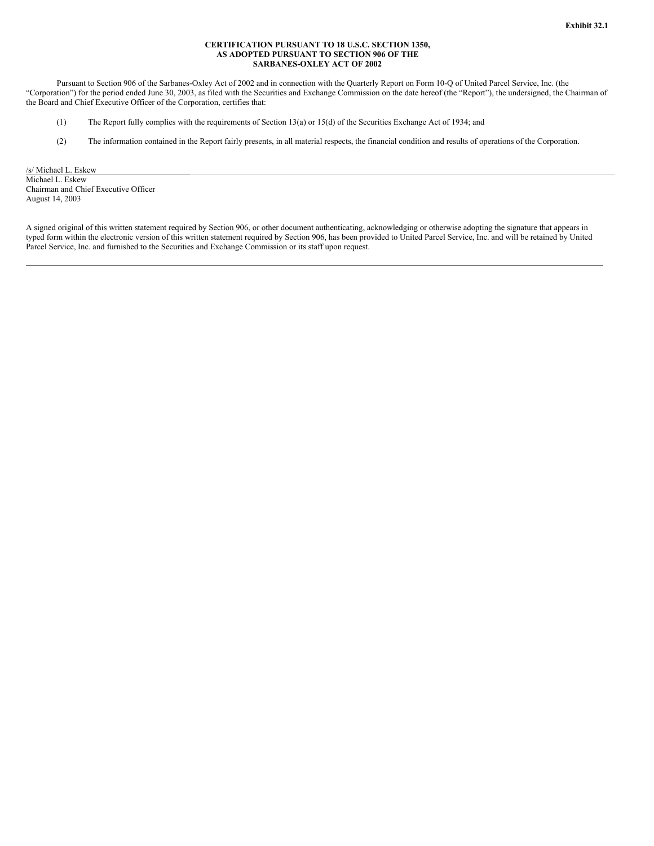## **CERTIFICATION PURSUANT TO 18 U.S.C. SECTION 1350, AS ADOPTED PURSUANT TO SECTION 906 OF THE SARBANES-OXLEY ACT OF 2002**

Pursuant to Section 906 of the Sarbanes-Oxley Act of 2002 and in connection with the Quarterly Report on Form 10-Q of United Parcel Service, Inc. (the "Corporation") for the period ended June 30, 2003, as filed with the Securities and Exchange Commission on the date hereof (the "Report"), the undersigned, the Chairman of the Board and Chief Executive Officer of the Corporation, certifies that:

- (1) The Report fully complies with the requirements of Section 13(a) or 15(d) of the Securities Exchange Act of 1934; and
- (2) The information contained in the Report fairly presents, in all material respects, the financial condition and results of operations of the Corporation.

/s/ Michael L. Eskew Michael L. Eskew Chairman and Chief Executive Officer August 14, 2003

A signed original of this written statement required by Section 906, or other document authenticating, acknowledging or otherwise adopting the signature that appears in typed form within the electronic version of this written statement required by Section 906, has been provided to United Parcel Service, Inc. and will be retained by United Parcel Service, Inc. and furnished to the Securities and Exchange Commission or its staff upon request.